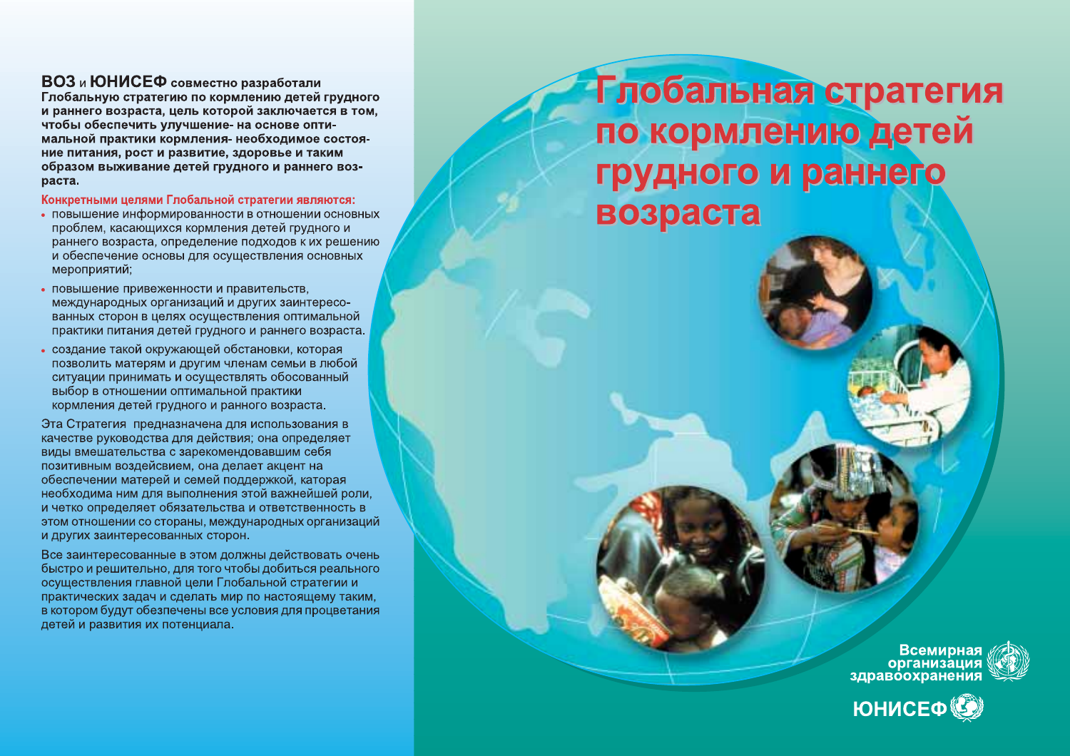## ВОЗ и ЮНИСЕФ совместно разработали

Глобальную стратегию по кормлению детей грудного и раннего возраста, цель которой заключается в том, чтобы обеспечить улучшение- на основе оптимальной практики кормления- необходимое состояние питания, рост и развитие, здоровье и таким образом выживание детей грудного и раннего возраста.

Конкретными целями Глобальной стратегии являются:

- повышение информированности в отношении основных проблем, касающихся кормления детей грудного и раннего возраста, определение подходов к их решению и обеспечение основы для осуществления основных мероприятий;
- повышение привеженности и правительств. международных организаций и других заинтересованных сторон в целях осуществления оптимальной практики питания детей грудного и раннего возраста.
- создание такой окружающей обстановки, которая позволить матерям и другим членам семьи в любой ситуации принимать и осуществлять обосованный выбор в отношении оптимальной практики кормления детей грудного и ранного возраста.

Эта Стратегия предназначена для использования в качестве руководства для действия; она определяет виды вмешательства с зарекомендовавшим себя позитивным воздейсвием, она делает акцент на обеспечении матерей и семей поддержкой, каторая необходима ним для выполнения этой важнейшей роли, и четко определяет обязательства и ответственность в этом отношении со стораны, международных организаций и других заинтересованных сторон.

Все заинтересованные в этом должны действовать очень быстро и решительно, для того чтобы добиться реального осуществления главной цели Глобальной стратегии и практических задач и сделать мир по настоящему таким, в котором будут обезпечены все условия для процветания детей и развития их потенциала.

Глобальная стратегия по кормлению детей грудного и раннего возраста

Всемирная<br>организация<br>здравоохранения

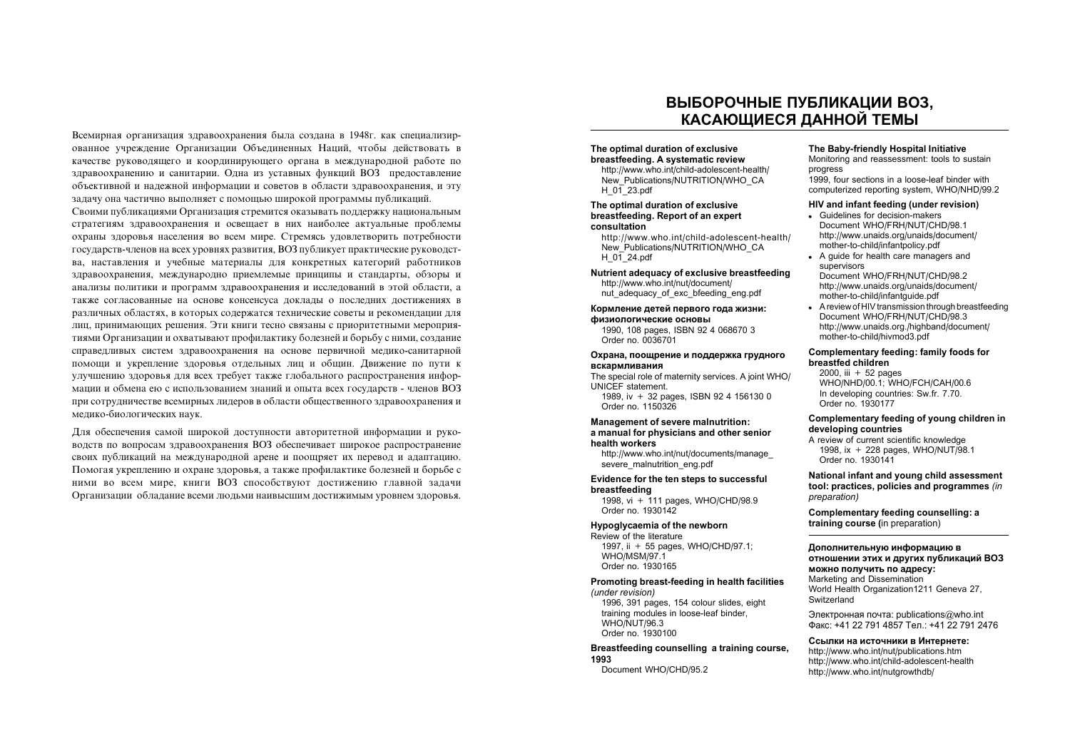Всемирная организация злравоохранения была созлана в 1948г. как специализированное учреждение Организации Объединенных Наций, чтобы действовать в качестве руководящего и координирующего органа в международной работе по здравоохранению и санитарии. Одна из уставных функций ВОЗ предоставление объективной и належной информации и советов в области злравоохранения, и эту задачу она частично выполняет с помощью широкой программы публикаций.

Своими публикациями Организация стремится оказывать поддержку национальным стратегиям здравоохранения и освещает в них наиболее актуальные проблемы охраны здоровья населения во всем мире. Стремясь удовлетворить потребности государств-членов на всех уровнях развития. ВОЗ публикует практические руководства, наставления и учебные материалы для конкретных категорий работников здравоохранения, международно приемлемые принципы и стандарты, обзоры и анализы политики и программ здравоохранения и исследований в этой области, а также согласованные на основе консенсуса доклады о последних достижениях в различных областях, в которых содержатся технические советы и рекомендации для лиц, принимающих решения. Эти книги тесно связаны с приоритетными мероприятиями Организации и охватывают профилактику болезней и борьбу с ними, создание справедливых систем здравоохранения на основе первичной медико-санитарной помощи и укрепление здоровья отдельных лиц и общин. Движение по пути к улучшению здоровья для всех требует также глобального распространения информации и обмена ею с использованием знаний и опыта всех государств - членов ВОЗ при сотрудничестве всемирных лидеров в области общественного здравоохранения и мелико-биологических наук.

Для обеспечения самой широкой доступности авторитетной информации и руководств по вопросам здравоохранения ВОЗ обеспечивает широкое распространение своих публикаций на международной арене и поощряет их перевод и адаптацию. Помогая укреплению и охране здоровья, а также профилактике болезней и борьбе с ними во всем мире, книги ВОЗ способствуют достижению главной задачи Организации обладание всеми людьми наивысшим достижимым уровнем здоровья.

## ВЫБОРОЧНЫЕ ПУБЛИКАЦИИ ВОЗ. КАСАЮШИЕСЯ ДАННОЙ ТЕМЫ

#### The optimal duration of exclusive breastfeeding. A systematic review

http://www.who.int/child-adolescent-health/ New Publications/NUTRITION/WHO CA H  $0\overline{1}$  23.pdf

#### The optimal duration of exclusive breastfeeding. Report of an expert consultation

http://www.who.int/child-adolescent-health/ New Publications/NUTRITION/WHO CA H  $01$  24.pdf

Nutrient adequacy of exclusive breastfeeding http://www.who.int/nut/document/ nut adequacy of exc bfeeding eng.pdf

#### Кормление детей первого года жизни: физиологические основы

1990, 108 pages, ISBN 92 4 068670 3 Order no. 0036701

#### Охрана, поощрение и поддержка грудного вскармливания

The special role of maternity services. A joint WHO/ UNICEF statement. 1989, iv + 32 pages, ISBN 92 4 156130 0

Order no. 1150326

#### **Management of severe malnutrition:** a manual for physicians and other senior

health workers

http://www.who.int/nut/documents/manage severe malnutrition eng.pdf

#### Evidence for the ten steps to successful breastfeeding

1998, vi + 111 pages, WHO/CHD/98.9 Order no. 1930142

#### Hypoglycaemia of the newborn

Review of the literature 1997, ii + 55 pages, WHO/CHD/97.1; **WHO/MSM/97.1** Order no. 1930165

#### Promoting breast-feeding in health facilities

(under revision) 1996, 391 pages, 154 colour slides, eight training modules in loose-leaf binder. WHO/NUT/96.3 Order no. 1930100

#### Breastfeeding counselling a training course, 1993

Document WHO/CHD/95.2

#### The Baby-friendly Hospital Initiative

Monitoring and reassessment: tools to sustain progress

1999, four sections in a loose-leaf binder with computerized reporting system, WHO/NHD/99.2

#### HIV and infant feeding (under revision)

- Guidelines for decision-makers Document WHO/FRH/NUT/CHD/98.1 http://www.unaids.org/unaids/document/ mother-to-child/infantpolicy.pdf
- A quide for health care managers and supervisors Document WHO/FRH/NUT/CHD/98.2 http://www.unaids.org/unaids/document/ mother-to-child/infantguide.pdf
- A review of HIV transmission through breastfeeding Document WHO/FRH/NUT/CHD/98.3 http://www.unaids.org./highband/document/ mother-to-child/hivmod3.pdf

#### Complementary feeding: family foods for breastfed children

2000. iii  $+52$  pages WHO/NHD/00.1: WHO/FCH/CAH/00.6 In developing countries: Sw.fr. 7.70. Order no. 1930177

#### Complementary feeding of young children in developing countries

A review of current scientific knowledge 1998, ix + 228 pages, WHO/NUT/98.1 Order no. 1930141

#### National infant and young child assessment tool: practices, policies and programmes (in preparation)

Complementary feeding counselling: a training course (in preparation)

#### Дополнительную информацию в

отношении этих и других публикаций ВОЗ можно получить по адресу: Marketing and Dissemination World Health Organization1211 Geneva 27, Switzerland

Электронная почта: publications@who.int Факс: +41 22 791 4857 Тел.: +41 22 791 2476

Ссылки на источники в Интернете: http://www.who.int/nut/publications.htm http://www.who.int/child-adolescent-health http://www.who.int/nutgrowthdb/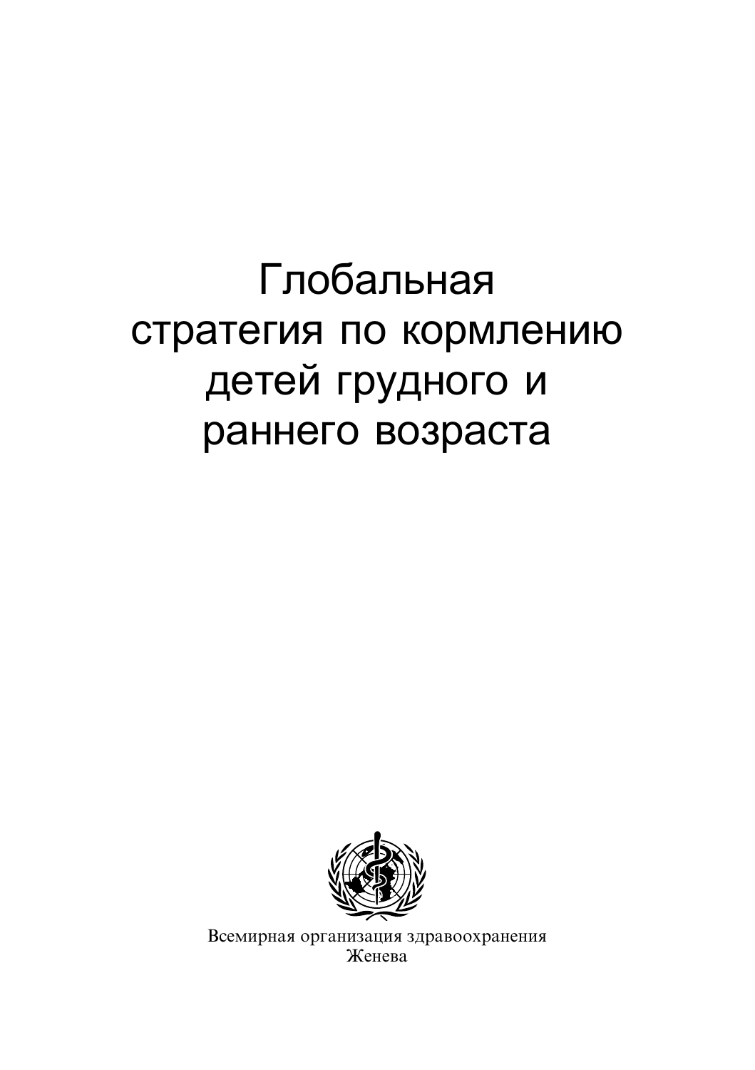# Глобальная стратегия по кормлению детей грудного и раннего возраста



Всемирная организация здравоохранения Женева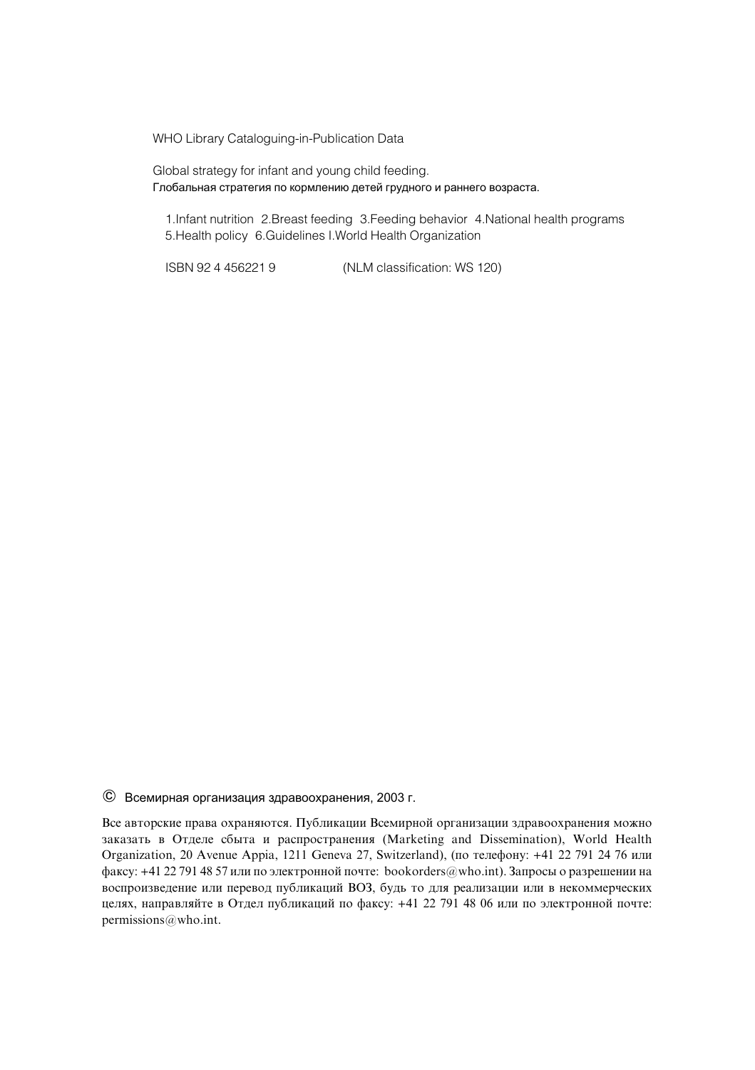WHO Library Cataloguing-in-Publication Data

Global strategy for infant and young child feeding. Глобальная стратегия по кормлению детей грудного и раннего возраста.

1.Infant nutrition 2.Breast feeding 3.Feeding behavior 4.National health programs 5.Health policy 6.Guidelines I.World Health Organization

ISBN 92 4 456221 9 (NLM classification: WS 120)

 $\odot$  Всемирная организация здравоохранения, 2003 г.

Все авторские права охраняются. Публикации Всемирной организации здравоохранения можно заказать в Отделе сбыта и распространения (Marketing and Dissemination), World Health Organization, 20 Avenue Appia, 1211 Geneva 27, Switzerland), (по телефону: +41 22 791 24 76 или факсу: +41 22 791 48 57 или по электронной почте: bookorders@who.int). Запросы о разрешении на воспроизведение или перевод публикаций ВОЗ, будь то для реализации или в некоммерческих целях, направляйте в Отдел публикаций по факсу: +41 22 791 48 06 или по электронной почте: permissions@who.int.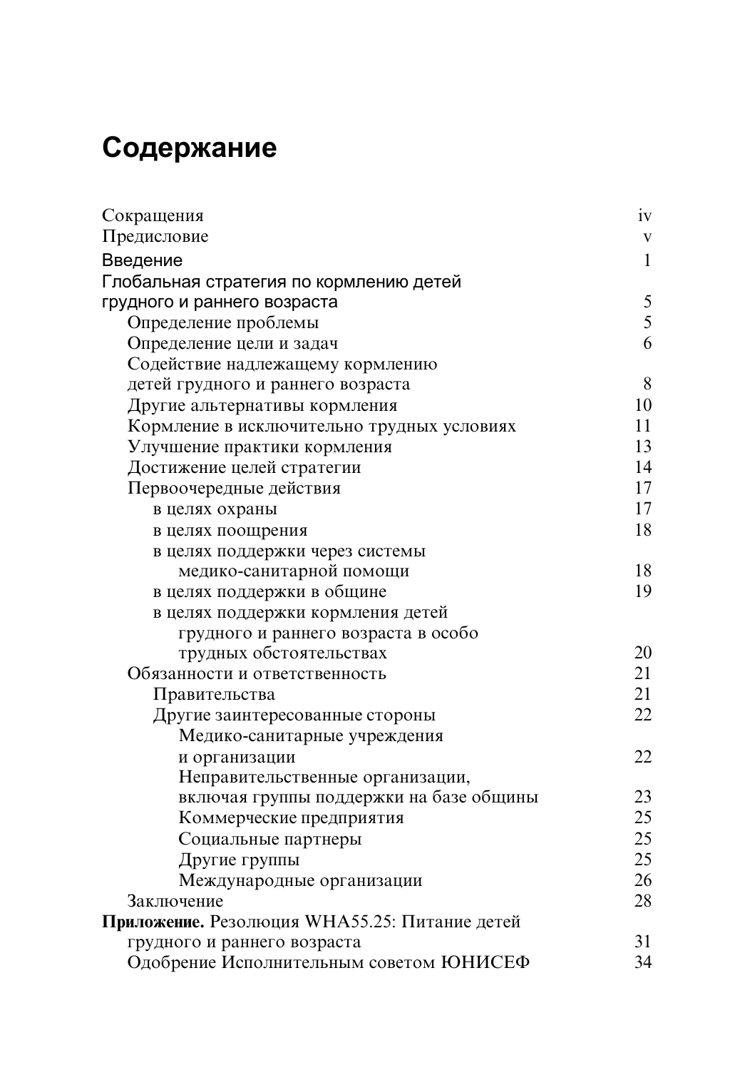## Содержание

| Сокращения                                    | iv           |
|-----------------------------------------------|--------------|
| Предисловие                                   | $\mathbf V$  |
| Введение                                      | $\mathbf{1}$ |
| Глобальная стратегия по кормлению детей       |              |
| грудного и раннего возраста                   | 5            |
| Определение проблемы                          | 5            |
| Определение цели и задач                      | 6            |
| Содействие надлежащему кормлению              |              |
| детей грудного и раннего возраста             | 8            |
| Другие альтернативы кормления                 | 10           |
| Кормление в исключительно трудных условиях    | 11           |
| Улучшение практики кормления                  | 13           |
| Достижение целей стратегии                    | 14           |
| Первоочередные действия                       | 17           |
| в целях охраны                                | 17           |
| в целях поощрения                             | 18           |
| в целях поддержки через системы               |              |
| медико-санитарной помощи                      | 18           |
| в целях поддержки в общине                    | 19           |
| в целях поддержки кормления детей             |              |
| грудного и раннего возраста в особо           |              |
| трудных обстоятельствах                       | 20           |
| Обязанности и ответственность                 | 21           |
| Правительства                                 | 21           |
| Другие заинтересованные стороны               | 22           |
| Медико-санитарные учреждения                  |              |
| и организации                                 | 22           |
| Неправительственные организации,              |              |
| включая группы поддержки на базе общины       | 23           |
| Коммерческие предприятия                      | 25           |
| Социальные партнеры                           | 25           |
| Другие группы                                 | 25           |
| Международные организации                     | 26           |
| Заключение                                    | 28           |
| Приложение. Резолюция WHA55.25: Питание детей |              |
| грудного и раннего возраста                   | 31           |
| Одобрение Исполнительным советом ЮНИСЕФ       | 34           |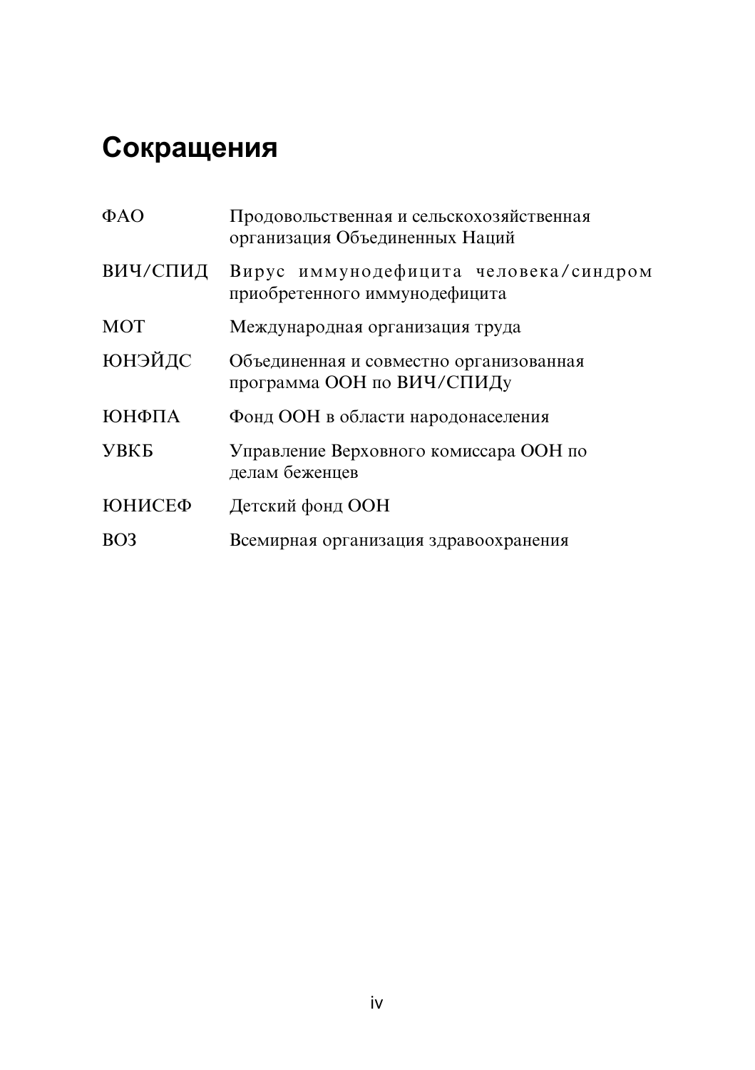## Сокращения

| Продовольственная и сельскохозяйственная<br>организация Объединенных Наций |
|----------------------------------------------------------------------------|
| Вирус иммунодефицита человека/синдром<br>приобретенного иммунодефицита     |
| Международная организация труда                                            |
| Объединенная и совместно организованная<br>программа ООН по ВИЧ/СПИДу      |
| Фонд ООН в области народонаселения                                         |
| Управление Верховного комиссара ООН по<br>делам беженцев                   |
| Детский фонд ООН                                                           |
| Всемирная организация здравоохранения                                      |
|                                                                            |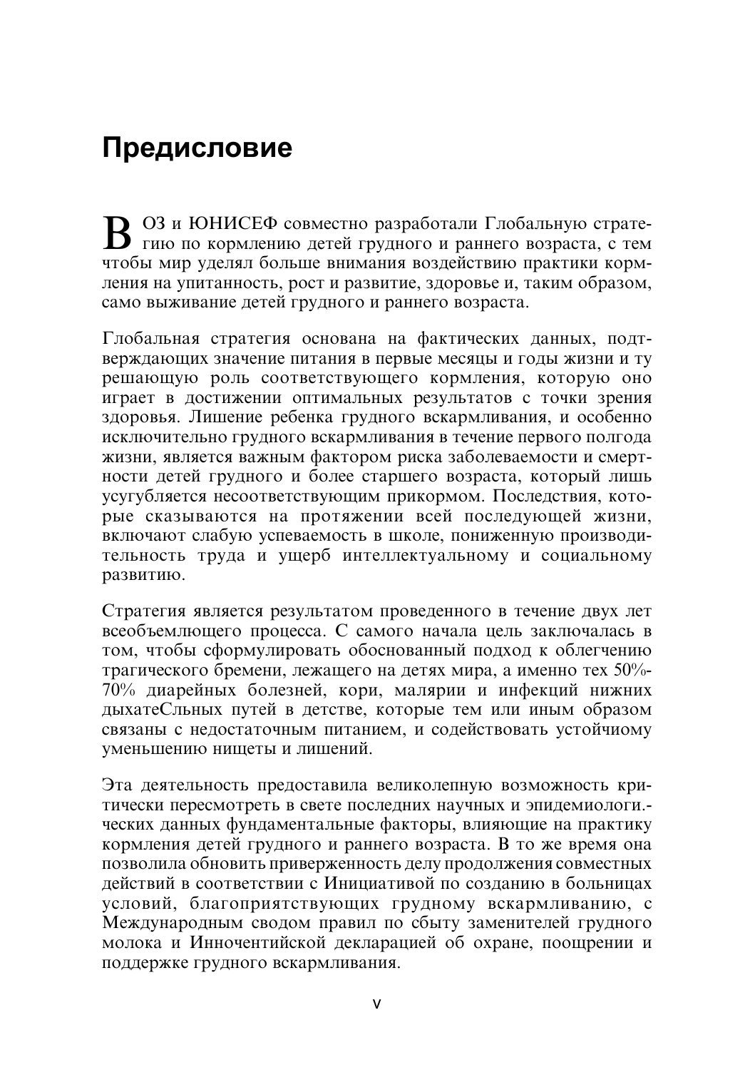## Предисловие

**B** <sup>O3</sup> и ЮНИСЕФ совместно разработали Глобальную страте-<br>В гию по кормлению детей грудного и раннего возраста, с тем чтобы мир уделял больше внимания воздействию практики кормления на упитанность, рост и развитие, здоровье и, таким образом, само выживание детей грудного и раннего возраста.

Глобальная стратегия основана на фактических данных, подтверждающих значение питания в первые месяцы и годы жизни и ту peшающую роль соответствующего кормления, которую оно  $\overline{h}$ играет в достижении оптимальных результатов с точки зрения здоровья. Лишение ребенка грудного вскармливания, и особенно исключительно грудного вскармливания в течение первого полгода жизни, является важным фактором риска заболеваемости и смертности детей грудного и более старшего возраста, который лишь усугубляется несоответствующим прикормом. Последствия, которые сказываются на протяжении всей последующей жизни, включают слабую успеваемость в школе, пониженную производительность труда и ущерб интеллектуальному и социальному развитию.

 $C$ тратегия является результатом провеленного в течение лвух лет  $\vec{a}$ всеобъемлющего процесса. С самого начала цель заключалась в том, чтобы сформулировать обоснованный подход к облегчению трагического бремени, лежащего на детях мира, а именно тех 50%-70% диарейных болезней, кори, малярии и инфекций нижних дыхатеСльных путей в детстве, которые тем или иным образом  $\overline{c}$ вязаны с недостаточным питанием, и содействовать устойчиому уменьшению нищеты и лишений.

Эта деятельность предоставила великолепную возможность критически пересмотреть в свете последних научных и эпидемиологи. ческих данных фундаментальные факторы, влияющие на практику кормления детей грудного и раннего возраста. В то же время она позволила обновить приверженность делу продолжения совместных действий в соответствии с Инициативой по созданию в больницах условий, благоприятствующих грудному вскармливанию, с Международным сводом правил по сбыту заменителей грудного молока и Инночентийской декларацией об охране, поощрении и поддержке грудного вскармливания.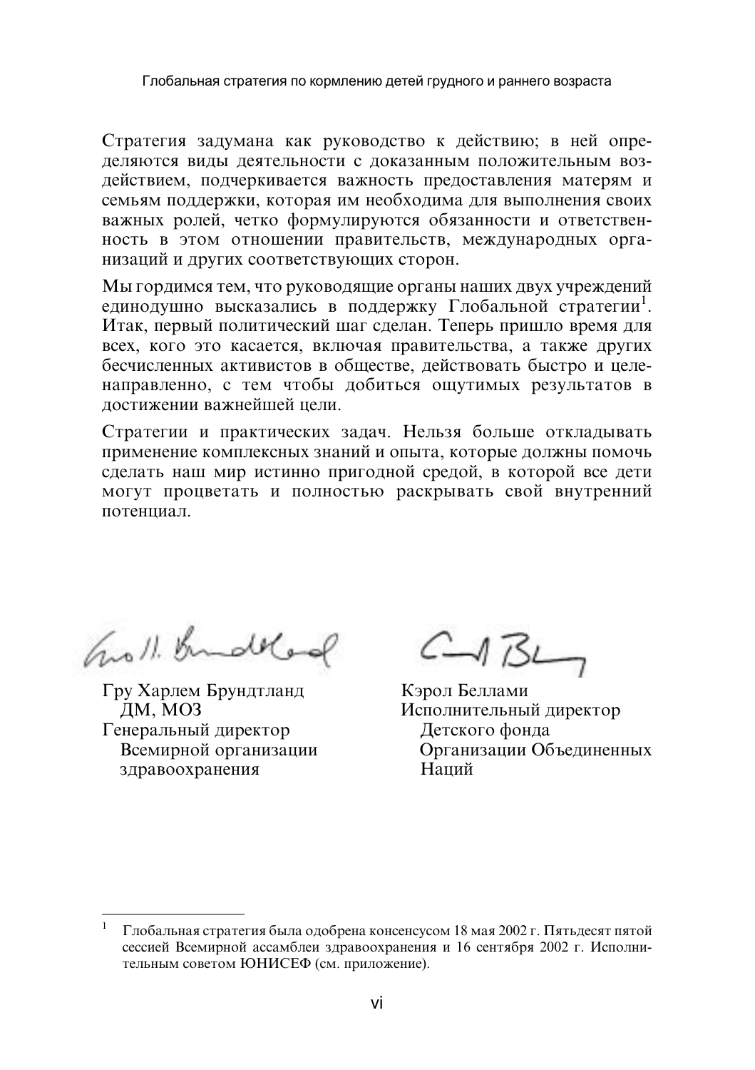Стратегия задумана как руководство к действию; в ней определяются виды деятельности с доказанным положительным воздействием, подчеркивается важность предоставления матерям и семьям поддержки, которая им необходима для выполнения своих важных ролей, четко формулируются обязанности и ответственность в этом отношении правительств, международных организаций и других соответствующих сторон.

Мы гордимся тем, что руководящие органы наших двух учреждений единодушно высказались в поддержку Глобальной стратегии<sup>1</sup>. Итак, первый политический шаг сделан. Теперь пришло время для всех, кого это касается, включая правительства, а также других бесчисленных активистов в обществе, действовать быстро и целенаправленно, с тем чтобы добиться ощутимых результатов в лостижении важнейшей цели.

Стратегии и практических задач. Нельзя больше откладывать применение комплексных знаний и опыта, которые должны помочь сделать наш мир истинно пригодной средой, в которой все дети могут процветать и полностью раскрывать свой внутренний потенниал.

Groll. Bundelod

Гру Харлем Брундтланд ДМ, МОЗ Генеральный директор Всемирной организации здравоохранения

 $C \rightarrow B$ 

Кэрол Беллами Исполнительный директор Детского фонда Организации Объединенных Напий

<sup>&</sup>lt;sup>1</sup> Глобальная стратегия была одобрена консенсусом 18 мая 2002 г. Пятьдесят пятой сессией Всемирной ассамблеи здравоохранения и 16 сентября 2002 г. Исполнительным советом ЮНИСЕФ (см. приложение).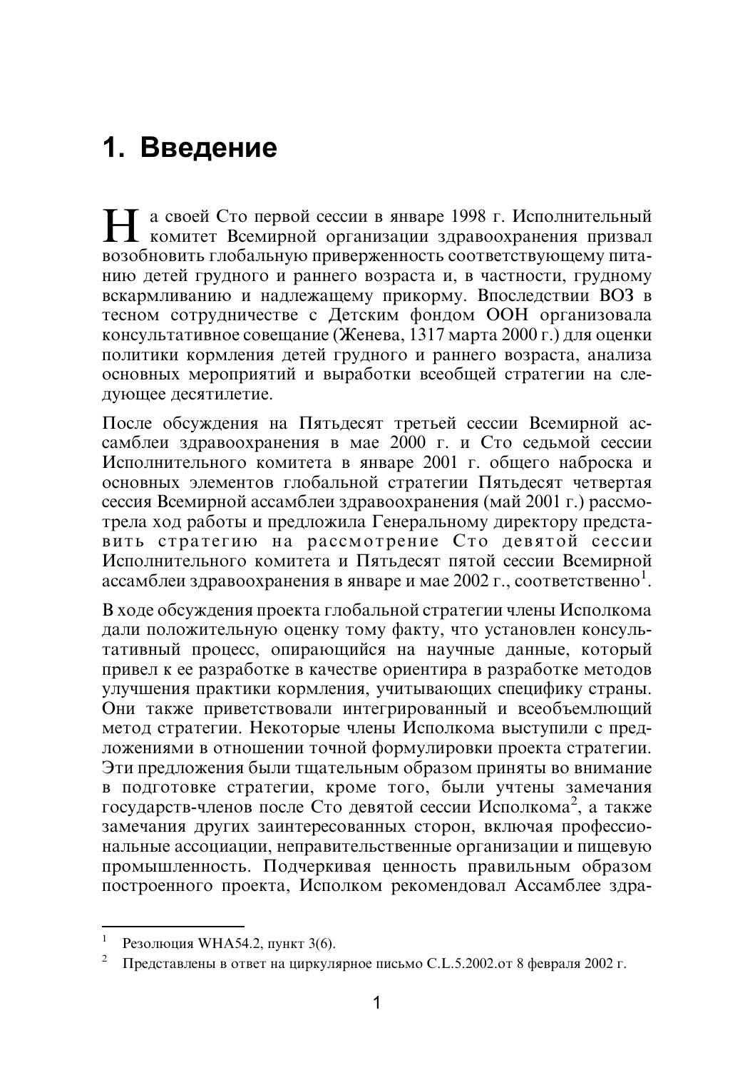## 1. Введение

**Н** а своей Сто первой сессии в январе 1998 г. Исполнительный<br>Комитет Всемирной организации здравоохранения призвал возобновить глобальную приверженность соответствующему питанию детей грудного и раннего возраста и, в частности, грудному  $\overline{\text{Bckab}}$ мливанию и надлежащему прикорму. Впоследствии ВОЗ в тесном сотрудничестве с Детским фондом ООН организовала консультативное совещание (Женева, 1317 марта 2000 г.) для оценки политики кормления детей грудного и раннего возраста, анализа основных мероприятий и выработки всеобщей стратегии на следующее десятилетие.

После обсуждения на Пятьдесят третьей сессии Всемирной ассамблеи здравоохранения в мае 2000 г. и Сто седьмой сессии Исполнительного комитета в январе 2001 г. общего наброска и основных элементов глобальной стратегии Пятьдесят четвертая сессия Всемирной ассамблеи здравоохранения (май 2001 г.) рассмотрела ход работы и предложила Генеральному директору представить стратегию на рассмотрение Сто девятой сессии Исполнительного комитета и Пятьдесят пятой сессии Всемирной  $\alpha$  годинительного комптета и титедести питон сесени всемирной

В ходе обсуждения проекта глобальной стратегии члены Исполкома дали положительную оценку тому факту, что установлен консультативный процесс, опирающийся на научные данные, который привел к ее разработке в качестве ориентира в разработке методов  $\overline{v}$ лучшения практики кормления, учитывающих специфику страны. Они также приветствовали интегрированный и всеобъемлющий метод стратегии. Некоторые члены Исполкома выступили с предложениями в отношении точной формулировки проекта стратегии. Эти предложения были тщательным образом приняты во внимание в подготовке стратегии, кроме того, были учтены замечания  $\mu$  подготовке стратени, кроме того, овин утены замечания замечания других заинтересованных сторон, включая профессиональные ассоциации, неправительственные организации и пищевую промышленность. Подчеркивая ценность правильным образом построенного проекта, Исполком рекомендовал Ассамблее здра-

<sup>&</sup>lt;sup>1</sup> Резолюция WHA54.2, пункт 3(6).<br><sup>2</sup> Представлены в ответ на циркулярное письмо C.L.5.2002.от 8 февраля 2002 г.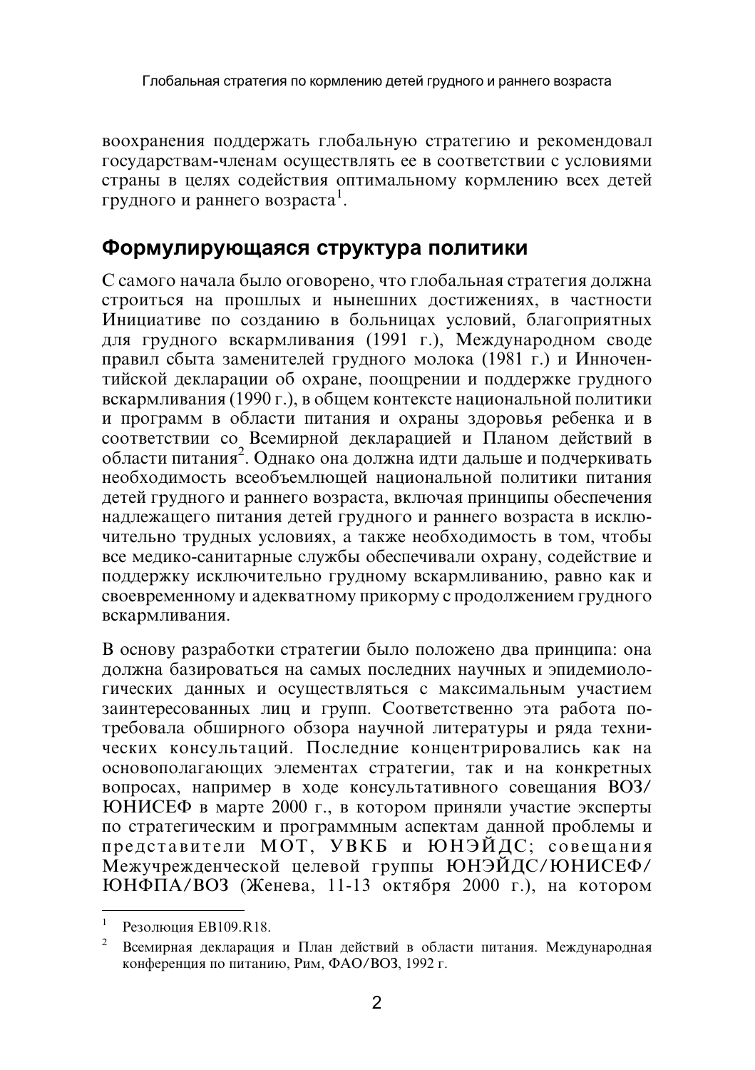воохранения поддержать глобальную стратегию и рекомендовал государствам-членам осуществлять ее в соответствии с условиями страны в нелях солействия оптимальному кормлению всех летей  $\mu$ рины в цених соденствии о

## Формулирующаяся структура политики

С самого начала было оговорено, что глобальная стратегия должна строиться на прошлых и нынешних достижениях, в частности Инициативе по созданию в больницах условий, благоприятных для грудного вскармливания (1991 г.), Международном своде правил сбыта заменителей грудного молока (1981 г.) и Инночентийской декларации об охране, поощрении и поддержке грудного вскармливания (1990 г.), в общем контексте национальной политики и программ в области питания и охраны здоровья ребенка и в  $\overline{\text{coor}}$ ветствии со Всемирной декларацией и Планом действий в  $\frac{1}{2}$ области питания<sup>2</sup>. Олнако она лолжна илти лалыше и полчеркивать необходимость всеобъемлющей национальной политики питания детей грудного и раннего возраста, включая принципы обеспечения надлежащего питания детей грудного и раннего возраста в исключительно трудных условиях, а также необходимость в том, чтобы все медико-санитарные службы обеспечивали охрану, содействие и поддержку исключительно грудному вскармливанию, равно как и  $\overline{C}$ евоевременному и адекватному прикорму с продолжением грудного вскармливания.

В основу разработки стратегии было положено два принципа: она должна базироваться на самых последних научных и эпидемиологических данных и осуществляться с максимальным участием заинтересованных лиц и групп. Соответственно эта работа потребовала обширного обзора научной литературы и ряда технических консультаций. Последние концентрировались как на основополагающих элементах стратегии, так и на конкретных вопросах, например в ходе консультативного совещания ВОЗ/  $\overline{Y}$ ЮНИСЕФ в марте 2000 г., в котором приняли участие эксперты по стратегическим и программным аспектам данной проблемы и представители МОТ, УВКБ и ЮНЭЙДС; совещания Межучрежденческой целевой группы ЮНЭЙДС/ЮНИСЕФ/  $H\ddot{\phi}$ ПА/ВОЗ (Женева, 11-13 октября 2000 г.), на котором

<sup>&</sup>lt;sup>1</sup> Резолюция EB109.R18. 2 Detail Detaine b области питания. Международная декларация и План действий в области питания. Международная конференция по питанию, Рим, ФАО/ВОЗ, 1992 г.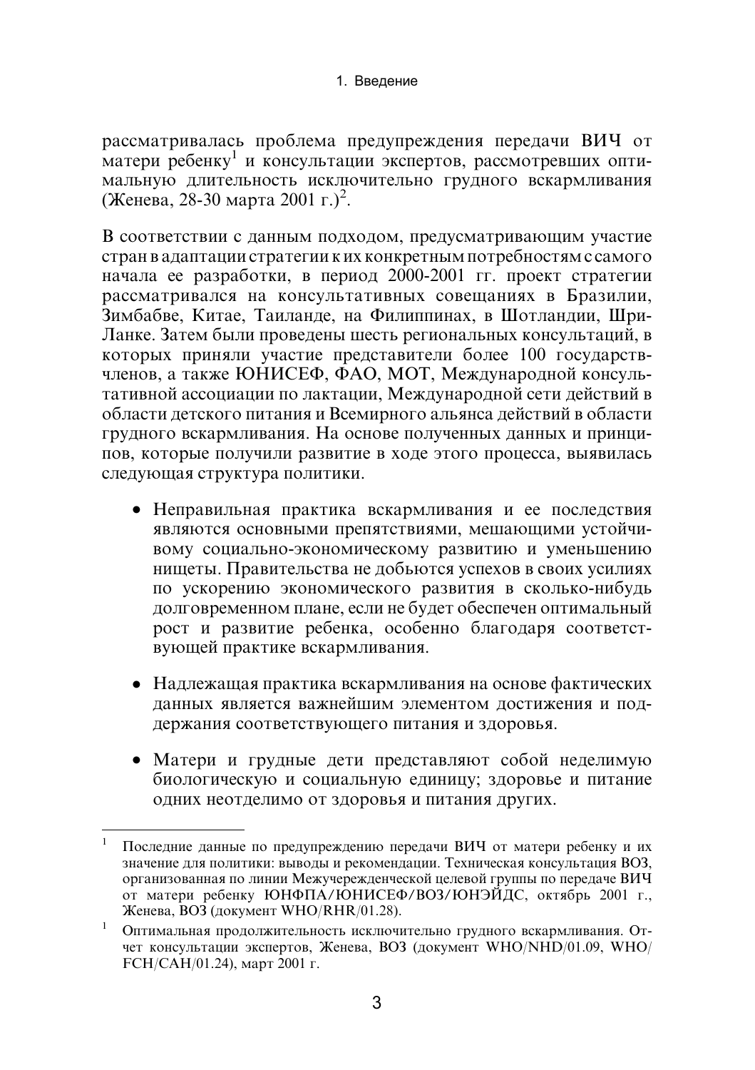рассматривалась проблема предупреждения передачи ВИЧ от матери ребенку<sup>1</sup> и консультации экспертов, рассмотревших оптимальную длительность исключительно грудного вскармливания (Женева, 28-30 марта 2001 г.)<sup>2</sup>.

В соответствии с данным подходом, предусматривающим участие стран в адаптации стратегии к их конкретным потребностям с самого начала ее разработки, в период 2000-2001 гг. проект стратегии рассматривался на консультативных совещаниях в Бразилии, Зимбабве, Китае, Таиланде, на Филиппинах, в Шотландии, Шри-Ланке. Затем были проведены шесть региональных консультаций, в которых приняли участие представители более 100 государствчленов, а также ЮНИСЕФ, ФАО, МОТ, Международной консультативной ассоциации по лактации, Международной сети действий в области детского питания и Всемирного альянса действий в области грудного вскармливания. На основе полученных данных и принципов, которые получили развитие в ходе этого процесса, выявилась следующая структура политики.

- Неправильная практика вскармливания и ее последствия являются основными препятствиями, мешающими устойчивому социально-экономическому развитию и уменьшению нищеты. Правительства не добьются успехов в своих усилиях по ускорению экономического развития в сколько-нибудь долговременном плане, если не будет обеспечен оптимальный рост и развитие ребенка, особенно благодаря соответствующей практике вскармливания.
- Надлежащая практика вскармливания на основе фактических данных является важнейшим элементом достижения и поддержания соответствующего питания и здоровья.
- Матери и грудные дети представляют собой неделимую биологическую и социальную единицу; здоровье и питание одних неотделимо от здоровья и питания других.

 $\mathbf{1}$ Последние данные по предупреждению передачи ВИЧ от матери ребенку и их значение для политики: выводы и рекомендации. Техническая консультация ВОЗ, организованная по линии Межучережденческой целевой группы по передаче ВИЧ от матери ребенку ЮНФПА/ЮНИСЕФ/ВОЗ/ЮНЭЙДС, октябрь 2001 г., Женева, ВОЗ (документ WHO/RHR/01.28).

<sup>1</sup> Оптимальная продолжительность исключительно грудного вскармливания. Отчет консультации экспертов, Женева, ВОЗ (документ WHO/NHD/01.09, WHO/ FCH/CAH/01.24), март 2001 г.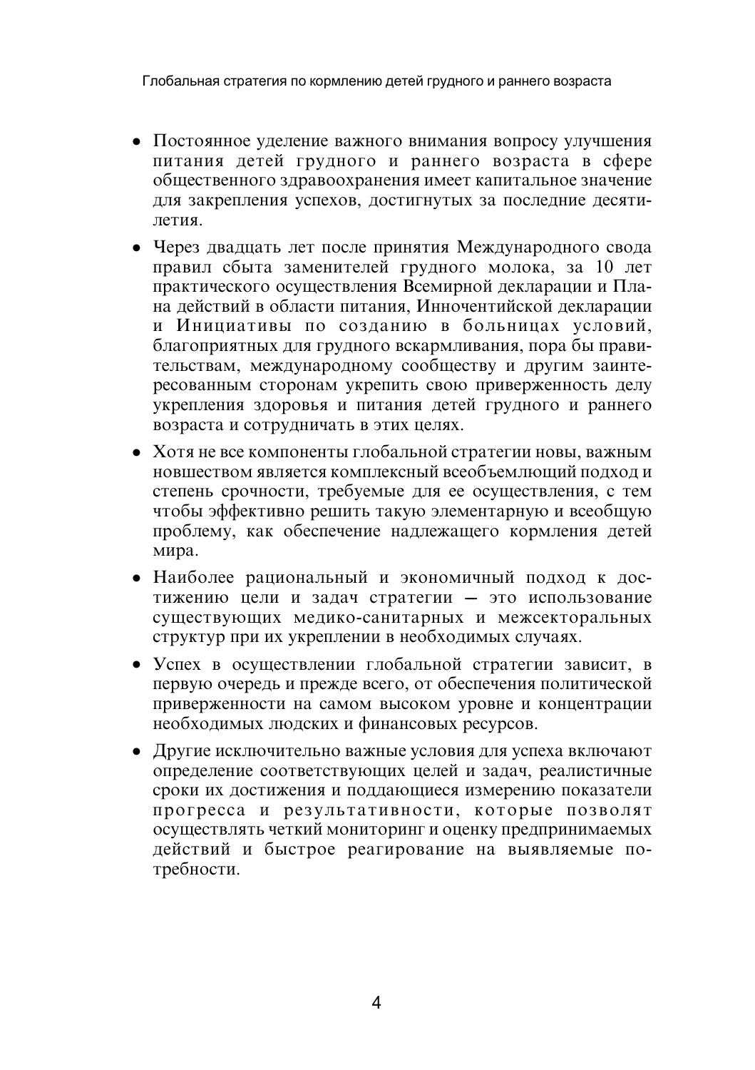Глобальная стратегия по кормлению детей грудного и раннего возраста

- Постоянное уделение важного внимания вопросу улучшения питания детей грудного и раннего возраста в сфере общественного здравоохранения имеет капитальное значение для закрепления успехов, достигнутых за последние десятипетия
- Через двадцать лет после принятия Международного свода правил сбыта заменителей грудного молока, за 10 лет практического осуществления Всемирной декларации и Плана действий в области питания, Инночентийской декларации и Инициативы по созданию в больницах условий, благоприятных для грудного вскармливания, пора бы правительствам, международному сообществу и другим заинтересованным сторонам укрепить свою приверженность делу укрепления здоровья и питания детей грудного и раннего возраста и сотрудничать в этих целях.
- Хотя не все компоненты глобальной стратегии новы, важным новшеством является комплексный всеобъемлющий подход и степень срочности, требуемые для ее осуществления, с тем чтобы эффективно решить такую элементарную и всеобщую проблему, как обеспечение надлежащего кормления детей мира.
- Наиболее рациональный и экономичный подход к достижению цели и задач стратегии - это использование существующих медико-санитарных и межсекторальных структур при их укреплении в необходимых случаях.
- Успех в осуществлении глобальной стратегии зависит, в первую очередь и прежде всего, от обеспечения политической приверженности на самом высоком уровне и концентрации необходимых людских и финансовых ресурсов.
- Другие исключительно важные условия для успеха включают определение соответствующих целей и задач, реалистичные сроки их достижения и поддающиеся измерению показатели прогресса и результативности, которые позволят осуществлять четкий мониторинг и оценку предпринимаемых действий и быстрое реагирование на выявляемые потребности.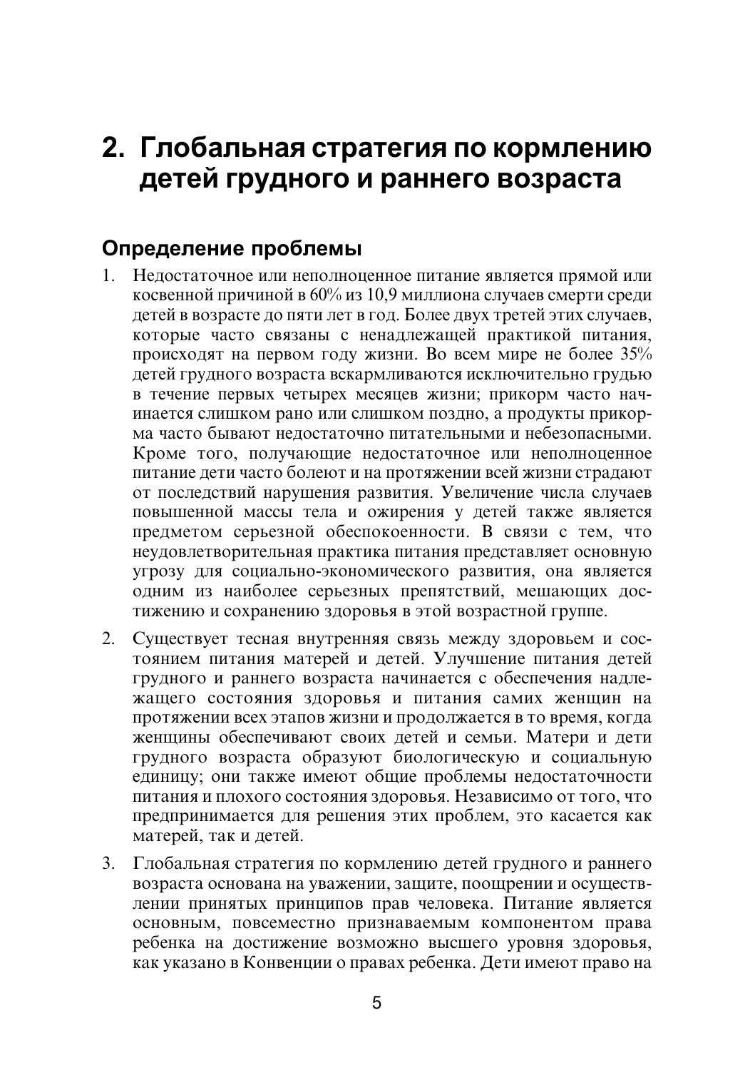## 2. Глобальная стратегия по кормлению детей грудного и раннего возраста

## Определение проблемы

- 1. Недостаточное или неполноценное питание является прямой или косвенной причиной в  $60\%$  из 10.9 миллиона случаев смерти среди детей в возрасте до пяти лет в год. Более двух третей этих случаев, которые часто связаны с ненадлежащей практикой питания, происходят на первом году жизни. Во всем мире не более 35% детей грудного возраста вскармливаются исключительно грудью в течение первых четырех месяцев жизни; прикорм часто начинается слишком рано или слишком поздно, а продукты прикорма часто бывают нелостаточно питательными и небезопасными. Кроме того, получающие недостаточное или неполноценное питание дети часто болеют и на протяжении всей жизни страдают от последствий нарушения развития. Увеличение числа случаев повышенной массы тела и ожирения у детей также является предметом серьезной обеспокоенности. В связи с тем, что неудовлетворительная практика питания представляет основную угрозу для социально-экономического развития, она является одним из наиболее серьезных препятствий, мешающих достижению и сохранению здоровья в этой возрастной группе.
- 2. Существует тесная внутренняя связь между здоровьем и состоянием питания матерей и детей. Улучшение питания детей грудного и раннего возраста начинается с обеспечения надлежащего состояния здоровья и питания самих женщин на протяжении всех этапов жизни и продолжается в то время, когда женщины обеспечивают своих детей и семьи. Матери и дети грудного возраста образуют биологическую и социальную единицу; они также имеют общие проблемы недостаточности питания и плохого состояния здоровья. Независимо от того, что предпринимается для решения этих проблем, это касается как матерей, так и детей.
- 3. Глобальная стратегия по кормлению детей грудного и раннего возраста основана на уважении, защите, поощрении и осуществлении принятых принципов прав человека. Питание является основным, повсеместно признаваемым компонентом права ребенка на достижение возможно высшего уровня здоровья, как указано в Конвенции о правах ребенка. Дети имеют право на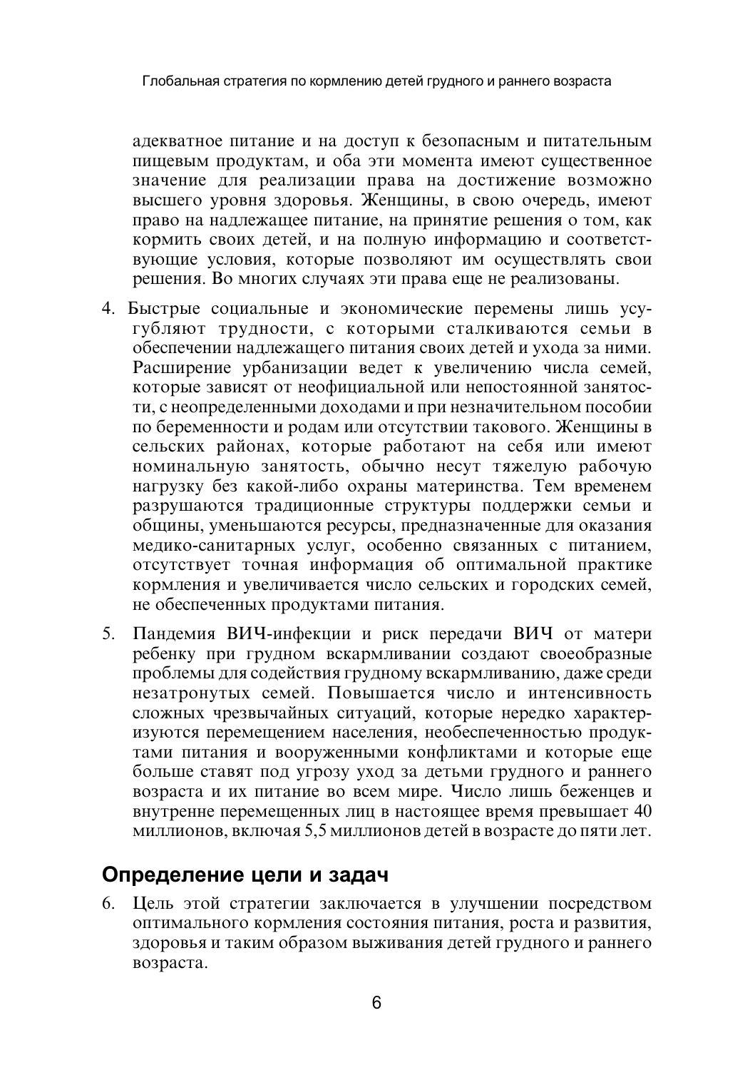адекватное питание и на доступ к безопасным и питательным пишевым продуктам, и оба эти момента имеют сушественное значение для реализации права на достижение возможно высшего уровня здоровья. Женщины, в свою очередь, имеют право на надлежащее питание, на принятие решения о том, как кормить своих детей, и на полную информацию и соответствующие условия, которые позволяют им осуществлять свои решения. Во многих случаях эти права еще не реализованы.

- 4. Быстрые социальные и экономические перемены лишь усугубляют трудности, с которыми сталкиваются семьи в обеспечении наллежашего питания своих летей и ухода за ними. Расширение урбанизации ведет к увеличению числа семей, которые зависят от неофициальной или непостоянной занятости, с неопределенными доходами и при незначительном пособии по беременности и родам или отсутствии такового. Женщины в сельских районах, которые работают на себя или имеют номинальную занятость, обычно несут тяжелую рабочую нагрузку без какой-либо охраны материнства. Тем временем разрушаются традиционные структуры поддержки семьи и общины, уменьшаются ресурсы, предназначенные для оказания медико-санитарных услуг, особенно связанных с питанием, отсутствует точная информация об оптимальной практике кормления и увеличивается число сельских и городских семей, не обеспеченных продуктами питания.
- 5. Пандемия ВИЧ-инфекции и риск передачи ВИЧ от матери ребенку при грудном вскармливании создают своеобразные проблемы для содействия грудному вскармливанию, даже среди незатронутых семей. Повышается число и интенсивность сложных чрезвычайных ситуаций, которые нередко характеризуются перемещением населения, необеспеченностью продуктами питания и вооруженными конфликтами и которые еще больше ставят под угрозу уход за детьми грудного и раннего возраста и их питание во всем мире. Число лишь беженцев и внутренне перемещенных лиц в настоящее время превышает 40 миллионов, включая 5,5 миллионов детей в возрасте до пяти лет.

## Определение цели и задач

6. Цель этой стратегии заключается в улучшении посредством оптимального кормления состояния питания, роста и развития, здоровья и таким образом выживания детей грудного и раннего возраста.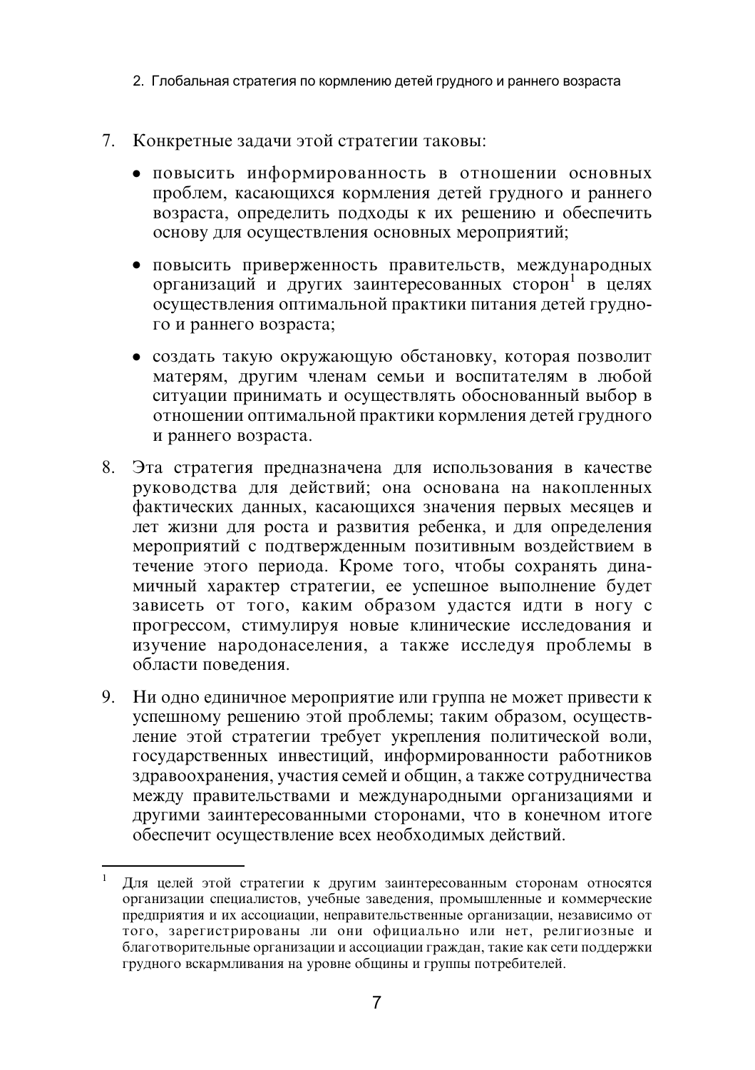2. Глобальная стратегия по кормлению детей грудного и раннего возраста

- 7. Конкретные задачи этой стратегии таковы:
	- повысить информированность в отношении основных проблем, касающихся кормления детей грудного и раннего возраста, определить подходы к их решению и обеспечить основу для осуществления основных мероприятий;
	- повысить приверженность правительств, международных организаций и других заинтересованных сторон<sup>1</sup> в нелях осуществления оптимальной практики питания детей грудного и раннего возраста;
	- создать такую окружающую обстановку, которая позволит матерям, другим членам семьи и воспитателям в любой ситуации принимать и осуществлять обоснованный выбор в отношении оптимальной практики кормления детей грудного и раннего возраста.
- 8. Эта стратегия предназначена для использования в качестве руководства для действий; она основана на накопленных фактических данных, касающихся значения первых месяцев и лет жизни для роста и развития ребенка, и для определения мероприятий с подтвержденным позитивным воздействием в течение этого периода. Кроме того, чтобы сохранять динамичный характер стратегии, ее успешное выполнение будет зависеть от того, каким образом удастся идти в ногу с прогрессом, стимулируя новые клинические исследования и изучение народонаселения, а также исследуя проблемы в области повеления.
- 9. Ни одно единичное мероприятие или группа не может привести к успешному решению этой проблемы; таким образом, осуществление этой стратегии требует укрепления политической воли. государственных инвестиций, информированности работников здравоохранения, участия семей и общин, а также сотрудничества между правительствами и международными организациями и другими заинтересованными сторонами, что в конечном итоге обеспечит осуществление всех необходимых действий.

Для целей этой стратегии к другим заинтересованным сторонам относятся организации специалистов, учебные заведения, промышленные и коммерческие предприятия и их ассоциации, неправительственные организации, независимо от того, зарегистрированы ли они официально или нет, религиозные и благотворительные организации и ассоциации граждан, такие как сети поддержки грудного вскармливания на уровне общины и группы потребителей.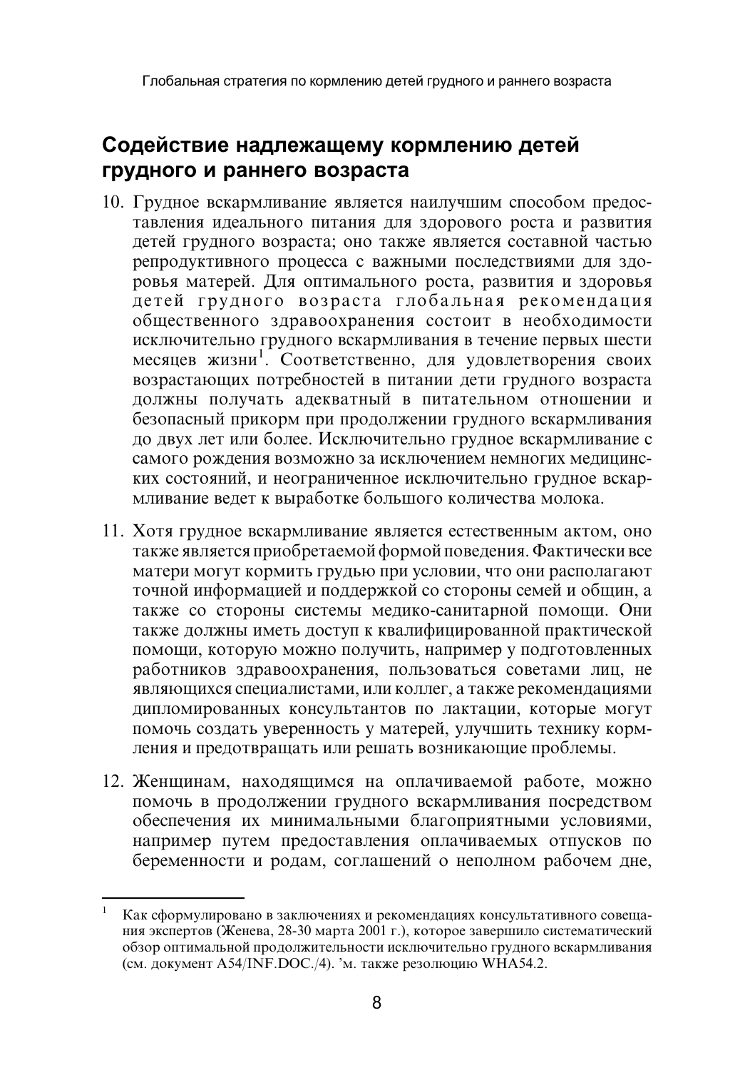## Содействие надлежащему кормлению детей грудного и раннего возраста

- 10. Грудное вскармливание является наилучшим способом предоставления идеального питания для здорового роста и развития детей грудного возраста; оно также является составной частью репродуктивного процесса с важными последствиями для здоровья матерей. Для оптимального роста, развития и здоровья детей грудного возраста глобальная рекомендация общественного здравоохранения состоит в необходимости исключительно грудного вскармливания в течение первых шести месяцев жизни<sup>1</sup>. Соответственно, для удовлетворения своих возрастающих потребностей в питании дети грудного возраста должны получать адекватный в питательном отношении и безопасный прикорм при продолжении грудного вскармливания до двух лет или более. Исключительно грудное вскармливание с самого рождения возможно за исключением немногих медицинских состояний, и неограниченное исключительно грудное вскармливание ведет к выработке большого количества молока.
- 11. Хотя грудное вскармливание является естественным актом, оно также является приобретаемой формой поведения. Фактически все матери могут кормить грудью при условии, что они располагают точной информацией и поддержкой со стороны семей и общин, а также со стороны системы медико-санитарной помощи. Они также должны иметь доступ к квалифицированной практической помощи, которую можно получить, например у подготовленных работников здравоохранения, пользоваться советами лиц, не являющихся специалистами, или коллег, а также рекомендациями дипломированных консультантов по лактации, которые могут помочь создать уверенность у матерей, улучшить технику кормления и предотвращать или решать возникающие проблемы.
- 12. Женщинам, находящимся на оплачиваемой работе, можно помочь в продолжении грудного вскармливания посредством обеспечения их минимальными благоприятными условиями, например путем предоставления оплачиваемых отпусков по беременности и родам, соглашений о неполном рабочем дне,

Как сформулировано в заключениях и рекомендациях консультативного совещания экспертов (Женева, 28-30 марта 2001 г.), которое завершило систематический обзор оптимальной продолжительности исключительно грудного вскармливания (см. документ A54/INF.DOC./4). 'м. также резолюцию WHA54.2.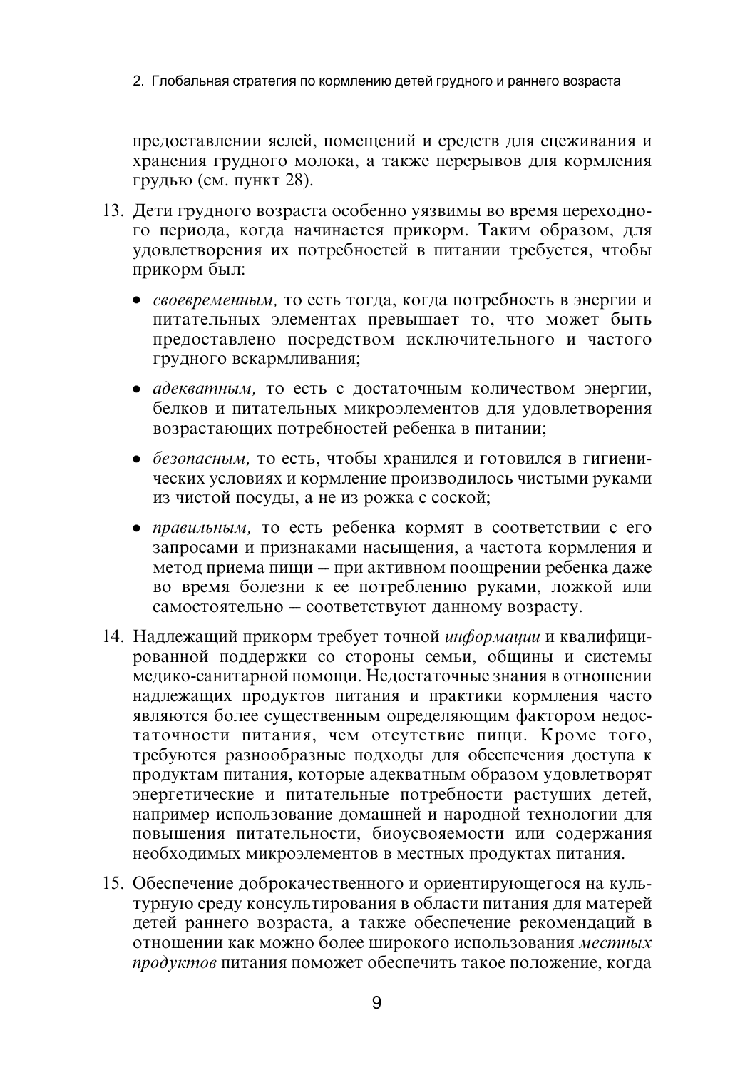2. Глобальная стратегия по кормлению детей грудного и раннего возраста

предоставлении яслей, помещений и средств для сцеживания и хранения грудного молока, а также перерывов для кормления грудью (см. пункт 28).

- 13. Дети грудного возраста особенно уязвимы во время переходного периода, когда начинается прикорм. Таким образом, для удовлетворения их потребностей в питании требуется, чтобы прикорм был:
	- своевременным, то есть тогда, когда потребность в энергии и питательных элементах превышает то, что может быть предоставлено посредством исключительного и частого грудного вскармливания:
	- адекватным, то есть с достаточным количеством энергии, белков и питательных микроэлементов для удовлетворения возрастающих потребностей ребенка в питании;
	- безопасным, то есть, чтобы хранился и готовился в гигиенических условиях и кормление производилось чистыми руками из чистой посуды, а не из рожка с соской;
	- правильным, то есть ребенка кормят в соответствии с его запросами и признаками насыщения, а частота кормления и метод приема пищи - при активном поощрении ребенка даже во время болезни к ее потреблению руками, ложкой или самостоятельно - соответствуют данному возрасту.
- 14. Надлежащий прикорм требует точной информации и квалифицированной поддержки со стороны семьи, общины и системы медико-санитарной помощи. Недостаточные знания в отношении надлежащих продуктов питания и практики кормления часто являются более существенным определяющим фактором недостаточности питания, чем отсутствие пищи. Кроме того, требуются разнообразные подходы для обеспечения доступа к продуктам питания, которые адекватным образом удовлетворят энергетические и питательные потребности растущих детей, например использование домашней и народной технологии для повышения питательности, биоусвояемости или содержания необходимых микроэлементов в местных продуктах питания.
- 15. Обеспечение доброкачественного и ориентирующегося на культурную среду консультирования в области питания для матерей детей раннего возраста, а также обеспечение рекомендаций в отношении как можно более широкого использования местных продуктов питания поможет обеспечить такое положение. когда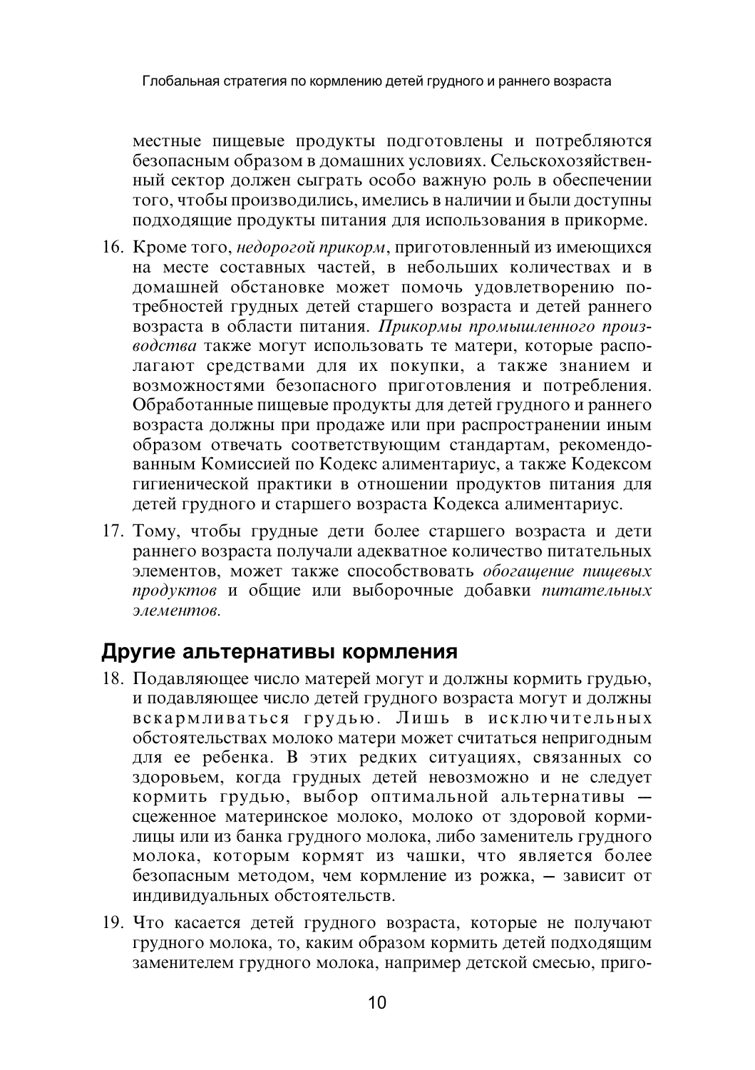местные пищевые продукты подготовлены и потребляются безопасным образом в домашних условиях. Сельскохозяйственный сектор должен сыграть особо важную роль в обеспечении того, чтобы производились, имелись в наличии и были доступны подходящие продукты питания для использования в прикорме.

- 16. Кроме того, недорогой прикорм, приготовленный из имеющихся на месте составных частей, в небольших количествах и в домашней обстановке может помочь удовлетворению потребностей грудных детей старшего возраста и детей раннего возраста в области питания. Прикормы промышленного производства также могут использовать те матери, которые располагают средствами для их покупки, а также знанием и возможностями безопасного приготовления и потребления. Обработанные пищевые продукты для детей грудного и раннего возраста должны при продаже или при распространении иным образом отвечать соответствующим стандартам, рекомендованным Комиссией по Кодекс алиментариус, а также Кодексом гигиенической практики в отношении продуктов питания для детей грудного и старшего возраста Кодекса алиментариус.
- 17. Тому, чтобы грудные дети более старшего возраста и дети раннего возраста получали адекватное количество питательных элементов, может также способствовать обогащение пищевых продуктов и общие или выборочные добавки питательных элементов.

## Другие альтернативы кормления

- 18. Подавляющее число матерей могут и должны кормить грудью, и подавляющее число детей грудного возраста могут и должны вскармливаться грудью. Лишь в исключительных обстоятельствах молоко матери может считаться непригодным для ее ребенка. В этих редких ситуациях, связанных со здоровьем, когда грудных детей невозможно и не следует кормить грудью, выбор оптимальной альтернативы сцеженное материнское молоко, молоко от здоровой кормилицы или из банка грудного молока, либо заменитель грудного молока, которым кормят из чашки, что является более безопасным методом, чем кормление из рожка, - зависит от индивидуальных обстоятельств.
- 19. Что касается детей грудного возраста, которые не получают грудного молока, то, каким образом кормить детей подходящим заменителем грудного молока, например детской смесью, приго-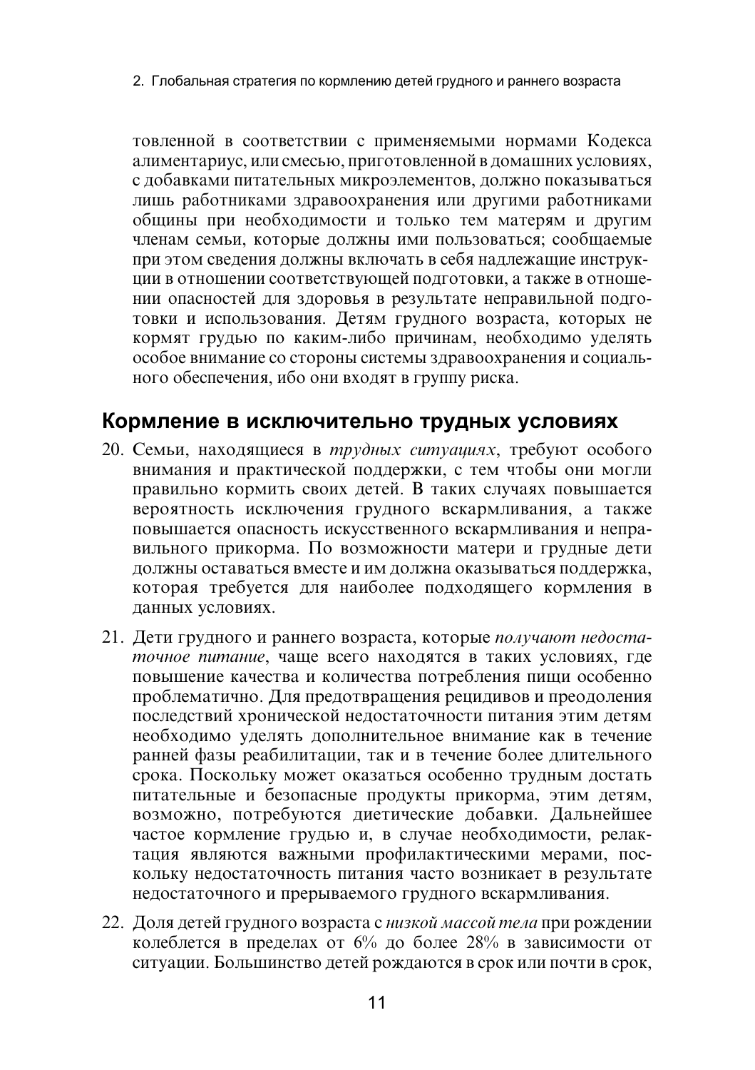2. Глобальная стратегия по кормлению детей грудного и раннего возраста

товленной в соответствии с применяемыми нормами Кодекса алиментариус, или смесью, приготовленной в домашних условиях, с добавками питательных микроэлементов, должно показываться лишь работниками здравоохранения или другими работниками обшины при необходимости и только тем матерям и другим членам семьи, которые должны ими пользоваться; сообщаемые при этом сведения должны включать в себя надлежащие инструкции в отношении соответствующей подготовки, а также в отношении опасностей для здоровья в результате неправильной подготовки и использования. Детям грудного возраста, которых не кормят грудью по каким-либо причинам, необходимо уделять особое внимание со стороны системы здравоохранения и социального обеспечения, ибо они входят в группу риска.

## Кормление в исключительно трудных условиях

- 20. Семьи, находящиеся в трудных ситуациях, требуют особого внимания и практической поддержки, с тем чтобы они могли правильно кормить своих детей. В таких случаях повышается вероятность исключения грудного вскармливания, а также повышается опасность искусственного вскармливания и неправильного прикорма. По возможности матери и грудные дети должны оставаться вместе и им должна оказываться поддержка, которая требуется для наиболее подходящего кормления в ланных условиях.
- 21. Дети грудного и раннего возраста, которые получают недостаточное питание, чаще всего находятся в таких условиях, где повышение качества и количества потребления пищи особенно проблематично. Для предотвращения рецидивов и преодоления последствий хронической недостаточности питания этим детям необходимо уделять дополнительное внимание как в течение ранней фазы реабилитации, так и в течение более длительного срока. Поскольку может оказаться особенно трудным достать питательные и безопасные продукты прикорма, этим детям, возможно, потребуются дистические добавки. Дальнейшее частое кормление грудью и, в случае необходимости, релактация являются важными профилактическими мерами, поскольку недостаточность питания часто возникает в результате недостаточного и прерываемого грудного вскармливания.
- 22. Доля детей грудного возраста с низкой массой тела при рождении колеблется в пределах от 6% до более 28% в зависимости от ситуации. Большинство детей рождаются в срок или почти в срок,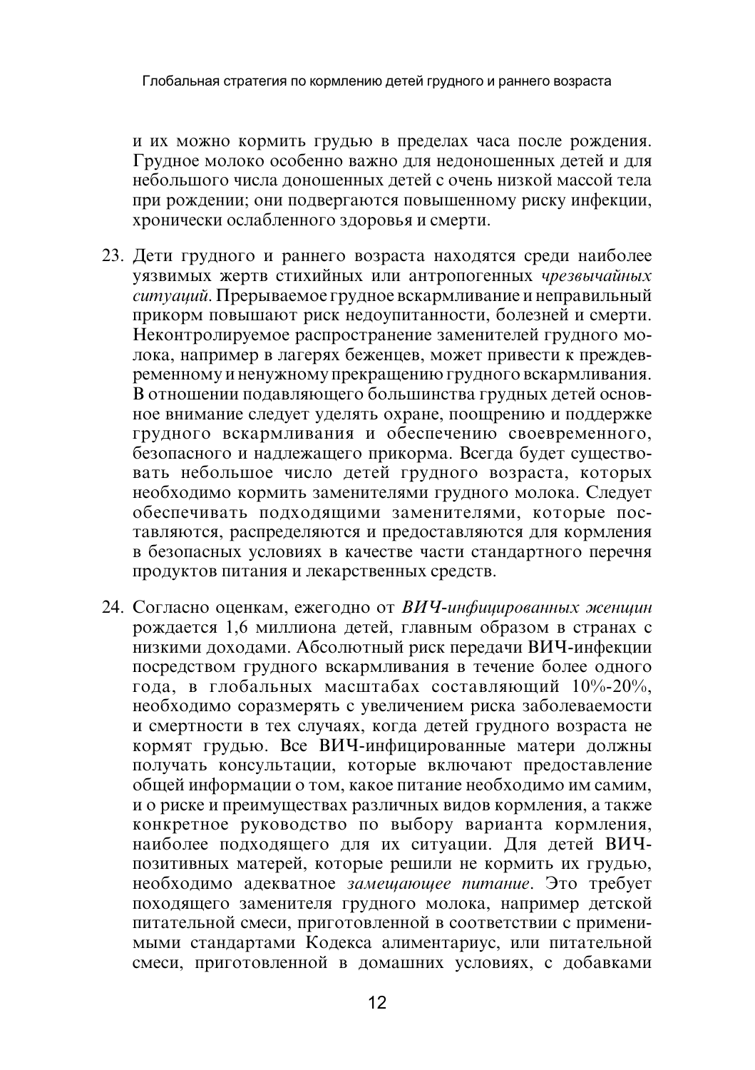и их можно кормить грудью в пределах часа после рождения. Грудное молоко особенно важно для недоношенных детей и для небольшого числа лоношенных летей с очень низкой массой тела при рождении; они подвергаются повышенному риску инфекции, хронически ослабленного здоровья и смерти.

- 23. Дети грудного и раннего возраста находятся среди наиболее уязвимых жертв стихийных или антропогенных чрезвычайных ситуаций. Прерываемое грудное вскармливание и неправильный прикорм повышают риск недоупитанности, болезней и смерти. Неконтролируемое распространение заменителей грудного молока, например в лагерях беженцев, может привести к преждевременному и ненужному прекращению грудного вскармливания. В отношении подавляющего большинства грудных детей основное внимание следует уделять охране, поощрению и поддержке грудного вскармливания и обеспечению своевременного. безопасного и надлежащего прикорма. Всегда будет существовать небольшое число детей грудного возраста, которых необходимо кормить заменителями грудного молока. Следует обеспечивать подходящими заменителями, которые поставляются, распределяются и предоставляются для кормления в безопасных условиях в качестве части стандартного перечня продуктов питания и лекарственных средств.
- 24. Согласно оценкам, ежегодно от ВИЧ-инфицированных женщин рождается 1,6 миллиона детей, главным образом в странах с низкими доходами. Абсолютный риск передачи ВИЧ-инфекции посредством грудного вскармливания в течение более одного года, в глобальных масштабах составляющий 10%-20%. необходимо соразмерять с увеличением риска заболеваемости и смертности в тех случаях, когда детей грудного возраста не кормят грудью. Все ВИЧ-инфицированные матери должны получать консультации, которые включают предоставление общей информации о том, какое питание необходимо им самим, и о риске и преимуществах различных видов кормления, а также конкретное руководство по выбору варианта кормления, наиболее подходящего для их ситуации. Для детей ВИЧпозитивных матерей, которые решили не кормить их грудью, необходимо адекватное замещающее питание. Это требует походящего заменителя грудного молока, например детской питательной смеси, приготовленной в соответствии с применимыми стандартами Кодекса алиментариус, или питательной смеси, приготовленной в домашних условиях, с добавками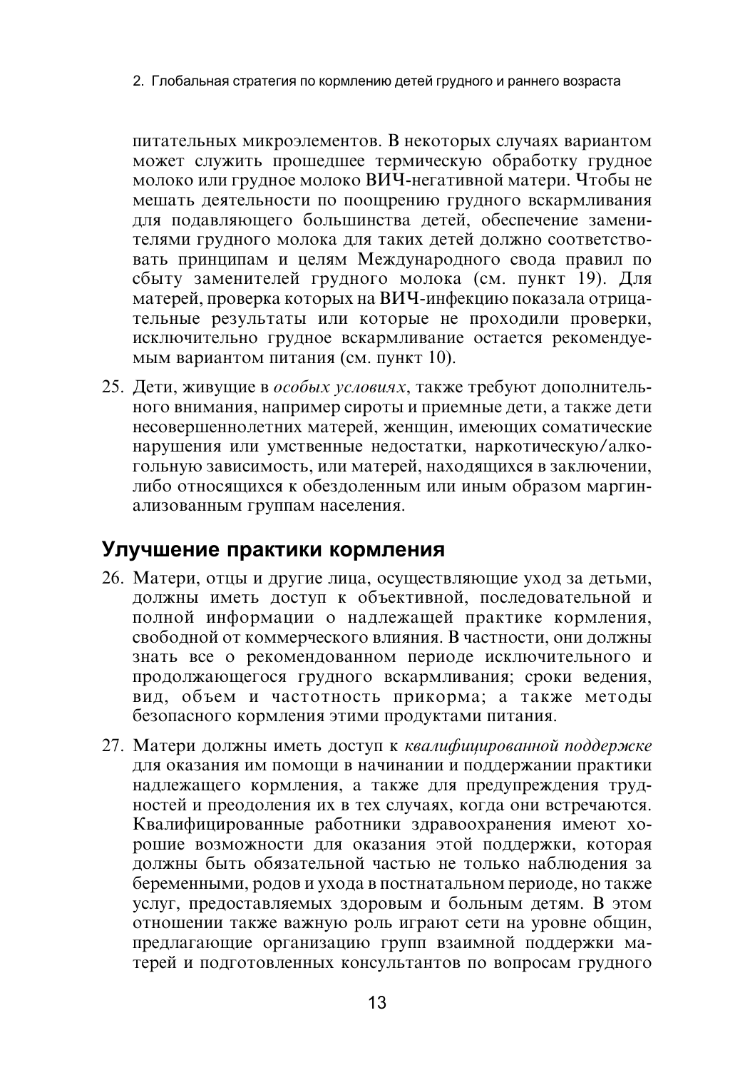2. Глобальная стратегия по кормлению детей грудного и раннего возраста

питательных микроэлементов. В некоторых случаях вариантом может служить прошедшее термическую обработку грудное молоко или грудное молоко ВИЧ-негативной матери. Чтобы не мешать деятельности по поощрению грудного вскармливания для подавляющего большинства детей, обеспечение заменителями грудного молока для таких детей должно соответствовать принципам и целям Международного свода правил по сбыту заменителей грудного молока (см. пункт 19). Для матерей, проверка которых на ВИЧ-инфекцию показала отрицательные результаты или которые не проходили проверки, исключительно грудное вскармливание остается рекомендуемым вариантом питания (см. пункт 10).

25. Дети, живущие в особых условиях, также требуют дополнительного внимания, например сироты и приемные дети, а также дети несовершеннолетних матерей, женщин, имеющих соматические нарушения или умственные недостатки, наркотическую/алкогольную зависимость, или матерей, находящихся в заключении, либо относящихся к обездоленным или иным образом маргинализованным группам населения.

## Улучшение практики кормления

- 26. Матери, отцы и другие лица, осуществляющие уход за детьми, должны иметь доступ к объективной, последовательной и полной информации о надлежащей практике кормления, свободной от коммерческого влияния. В частности, они должны знать все о рекомендованном периоде исключительного и продолжающегося грудного вскармливания; сроки ведения, вид, объем и частотность прикорма; а также методы безопасного кормления этими продуктами питания.
- 27. Матери должны иметь доступ к квалифицированной поддержке для оказания им помощи в начинании и поддержании практики надлежащего кормления, а также для предупреждения трудностей и преодоления их в тех случаях, когда они встречаются. Квалифицированные работники здравоохранения имеют хорошие возможности для оказания этой поддержки, которая должны быть обязательной частью не только наблюдения за беременными, родов и ухода в постнатальном периоде, но также услуг, предоставляемых здоровым и больным детям. В этом отношении также важную роль играют сети на уровне общин, предлагающие организацию групп взаимной поддержки матерей и подготовленных консультантов по вопросам грудного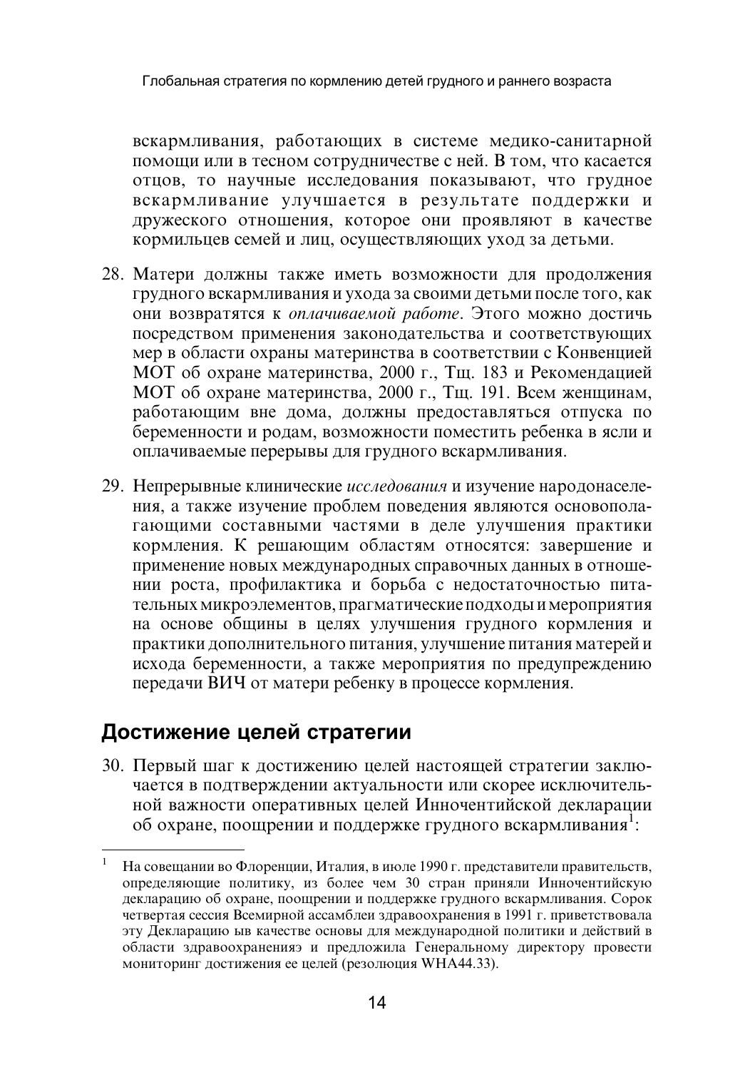вскармливания, работающих в системе медико-санитарной помощи или в тесном сотрудничестве с ней. В том, что касается отцов, то научные исследования показывают, что грудное вскармливание улучшается в результате поддержки и дружеского отношения, которое они проявляют в качестве кормильцев семей и лиц, осуществляющих уход за детьми.

- 28. Матери должны также иметь возможности для продолжения грудного вскармливания и ухода за своими детьми после того, как они возвратятся к оплачиваемой работе. Этого можно достичь посредством применения законодательства и соответствующих мер в области охраны материнства в соответствии с Конвенцией МОТ об охране материнства, 2000 г., Тщ. 183 и Рекомендацией МОТ об охране материнства, 2000 г., Тщ. 191. Всем женщинам, работающим вне дома, должны предоставляться отпуска по беременности и родам, возможности поместить ребенка в ясли и оплачиваемые перерывы для грудного вскармливания.
- 29. Непрерывные клинические исследования и изучение народонаселения, а также изучение проблем поведения являются основополагающими составными частями в деле улучшения практики кормления. К решающим областям относятся: завершение и применение новых международных справочных данных в отношении роста, профилактика и борьба с недостаточностью питательных микроэлементов, прагматические подходы и мероприятия на основе общины в целях улучшения грудного кормления и практики дополнительного питания, улучшение питания матерей и исхода беременности, а также мероприятия по предупреждению передачи ВИЧ от матери ребенку в процессе кормления.

## Достижение целей стратегии

30. Первый шаг к достижению целей настоящей стратегии заключается в подтверждении актуальности или скорее исключительной важности оперативных целей Инночентийской декларации об охране, поощрении и поддержке грудного вскармливания<sup>1</sup>:

 $\mathbf{1}$ На совещании во Флоренции, Италия, в июле 1990 г. представители правительств, определяющие политику, из более чем 30 стран приняли Инночентийскую декларацию об охране, поощрении и поддержке грудного вскармливания. Сорок четвертая сессия Всемирной ассамблеи здравоохранения в 1991 г. приветствовала эту Декларацию ыв качестве основы для международной политики и действий в области здравоохраненияэ и предложила Генеральному директору провести мониторинг достижения ее целей (резолюция WHA44.33).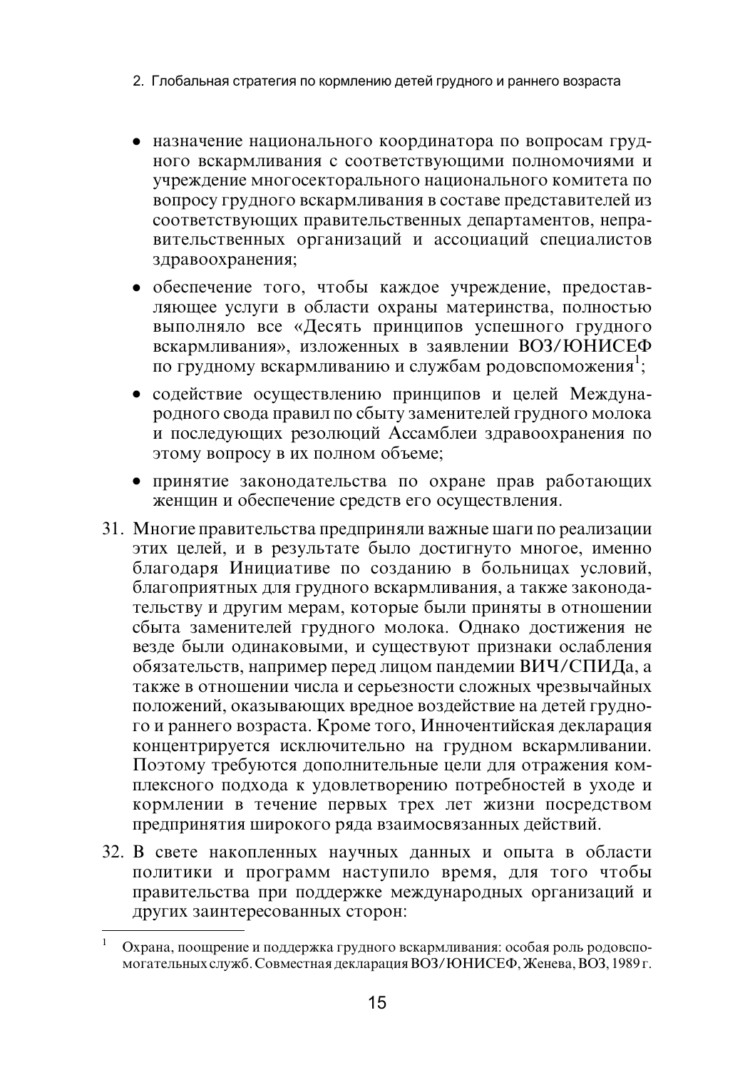- 2. Глобальная стратегия по кормлению детей грудного и раннего возраста
- назначение национального координатора по вопросам грудного вскармливания с соответствующими полномочиями и учреждение многосекторального национального комитета по вопросу грудного вскармливания в составе представителей из соответствующих правительственных департаментов, неправительственных организаций и ассоциаций специалистов здравоохранения;
- обеспечение того, чтобы каждое учреждение, предоставляющее услуги в области охраны материнства, полностью выполняло все «Десять принципов успешного грудного вскармливания», изложенных в заявлении ВОЗ/ЮНИСЕФ по грудному вскармливанию и службам родовспоможения<sup>1</sup>;
- содействие осуществлению принципов и целей Международного свода правил по сбыту заменителей грудного молока и последующих резолюций Ассамблеи здравоохранения по этому вопросу в их полном объеме;
- принятие законодательства по охране прав работающих женщин и обеспечение средств его осуществления.
- 31. Многие правительства предприняли важные шаги по реализации этих целей, и в результате было достигнуто многое, именно благодаря Инициативе по созданию в больницах условий, благоприятных для грудного вскармливания, а также законодательству и другим мерам, которые были приняты в отношении сбыта заменителей грудного молока. Однако достижения не везде были одинаковыми, и существуют признаки ослабления обязательств, например перед лицом пандемии ВИЧ/СПИДа, а также в отношении числа и серьезности сложных чрезвычайных положений, оказывающих вредное воздействие на детей грудного и раннего возраста. Кроме того, Инночентийская декларация концентрируется исключительно на грудном вскармливании. Поэтому требуются дополнительные цели для отражения комплексного подхода к удовлетворению потребностей в уходе и кормлении в течение первых трех лет жизни посредством предпринятия широкого ряда взаимосвязанных действий.
- 32. В свете накопленных научных данных и опыта в области политики и программ наступило время, для того чтобы правительства при поддержке международных организаций и других заинтересованных сторон:

Охрана, поощрение и поддержка грудного вскармливания: особая роль родовспомогательных служб. Совместная декларация ВОЗ/ЮНИСЕФ, Женева, ВОЗ, 1989 г.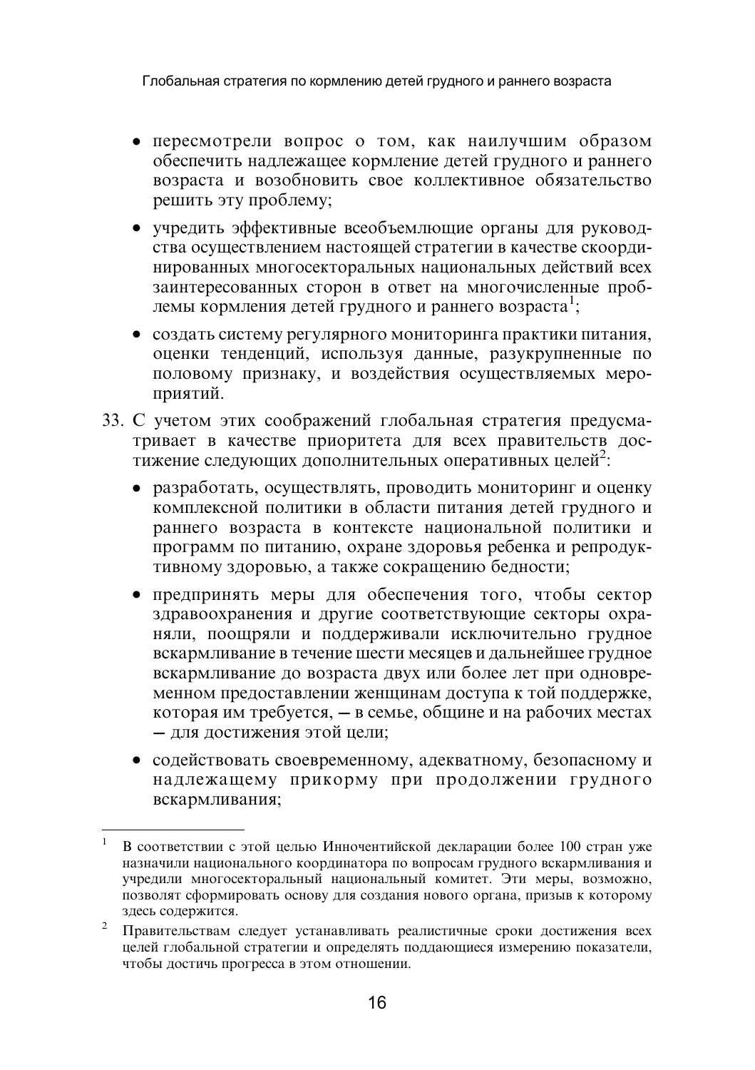Глобальная стратегия по кормлению детей грудного и раннего возраста

- пересмотрели вопрос о том, как наилучшим образом обеспечить наллежашее кормление летей грудного и раннего возраста и возобновить свое коллективное обязательство решить эту проблему;
- учредить эффективные всеобъемлющие органы для руководства осуществлением настоящей стратегии в качестве скоординированных многосекторальных национальных лействий всех заинтересованных сторон в ответ на многочисленные проблемы кормления детей грудного и раннего возраста<sup>1</sup>;
- создать систему регулярного мониторинга практики питания, оценки тенденций, используя данные, разукрупненные по половому признаку, и воздействия осуществляемых мероприятий.
- 33. С учетом этих соображений глобальная стратегия предусматривает в качестве приоритета для всех правительств достижение следующих дополнительных оперативных целей<sup>2</sup>:
	- разработать, осуществлять, проводить мониторинг и оценку комплексной политики в области питания детей грудного и раннего возраста в контексте национальной политики и программ по питанию, охране здоровья ребенка и репродуктивному здоровью, а также сокращению бедности;
	- предпринять меры для обеспечения того, чтобы сектор здравоохранения и другие соответствующие секторы охраняли, поощряли и поддерживали исключительно грудное вскармливание в течение шести месяцев и дальнейшее грудное вскармливание до возраста двух или более лет при одновременном предоставлении женщинам доступа к той поддержке, которая им требуется, - в семье, общине и на рабочих местах - для достижения этой цели;
	- содействовать своевременному, адекватному, безопасному и надлежащему прикорму при продолжении грудного вскармливания;

В соответствии с этой целью Инночентийской декларации более 100 стран уже назначили национального координатора по вопросам грудного вскармливания и учредили многосекторальный национальный комитет. Эти меры, возможно, позволят сформировать основу для создания нового органа, призыв к которому здесь содержится.

<sup>2</sup> Правительствам следует устанавливать реалистичные сроки достижения всех целей глобальной стратегии и определять поддающиеся измерению показатели, чтобы достичь прогресса в этом отношении.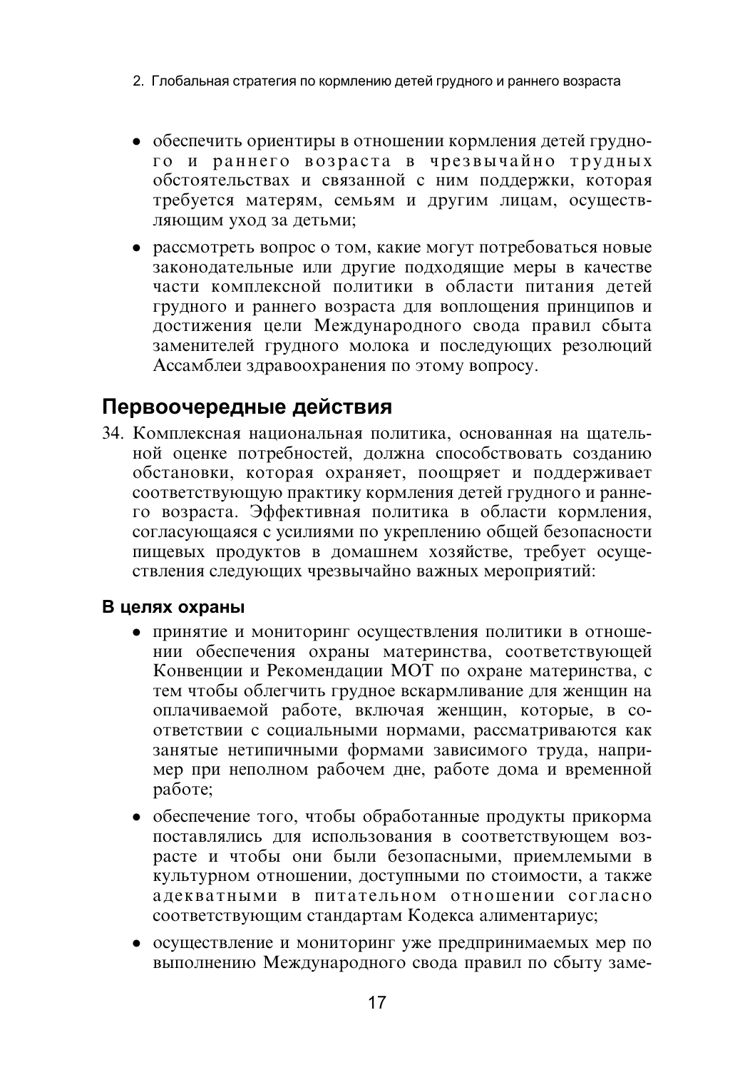- 2. Глобальная стратегия по кормлению детей грудного и раннего возраста
- обеспечить ориентиры в отношении кормления детей грудного и раннего возраста в чрезвычайно трудных обстоятельствах и связанной с ним поддержки, которая требуется матерям, семьям и другим лицам, осуществляющим уход за детьми:
- рассмотреть вопрос о том, какие могут потребоваться новые законодательные или другие подходящие меры в качестве части комплексной политики в области питания детей грудного и раннего возраста для воплощения принципов и достижения цели Международного свода правил сбыта заменителей грудного молока и последующих резолюций Ассамблеи здравоохранения по этому вопросу.

## Первоочередные действия

34. Комплексная национальная политика, основанная на шательной оценке потребностей, должна способствовать созданию обстановки, которая охраняет, поощряет и поддерживает соответствующую практику кормления детей грудного и раннего возраста. Эффективная политика в области кормления, согласующаяся с усилиями по укреплению общей безопасности пищевых продуктов в домашнем хозяйстве, требует осуществления следующих чрезвычайно важных мероприятий:

### В целях охраны

- принятие и мониторинг осуществления политики в отношении обеспечения охраны материнства, соответствующей Конвенции и Рекомендации МОТ по охране материнства, с тем чтобы облегчить грудное вскармливание для женщин на оплачиваемой работе, включая женщин, которые, в соответствии с социальными нормами, рассматриваются как занятые нетипичными формами зависимого труда, например при неполном рабочем дне, работе дома и временной работе:
- обеспечение того, чтобы обработанные продукты прикорма поставлялись для использования в соответствующем возрасте и чтобы они были безопасными, приемлемыми в культурном отношении, доступными по стоимости, а также адекватными в питательном отношении согласно соответствующим стандартам Кодекса алиментариус;
- осуществление и мониторинг уже предпринимаемых мер по выполнению Международного свода правил по сбыту заме-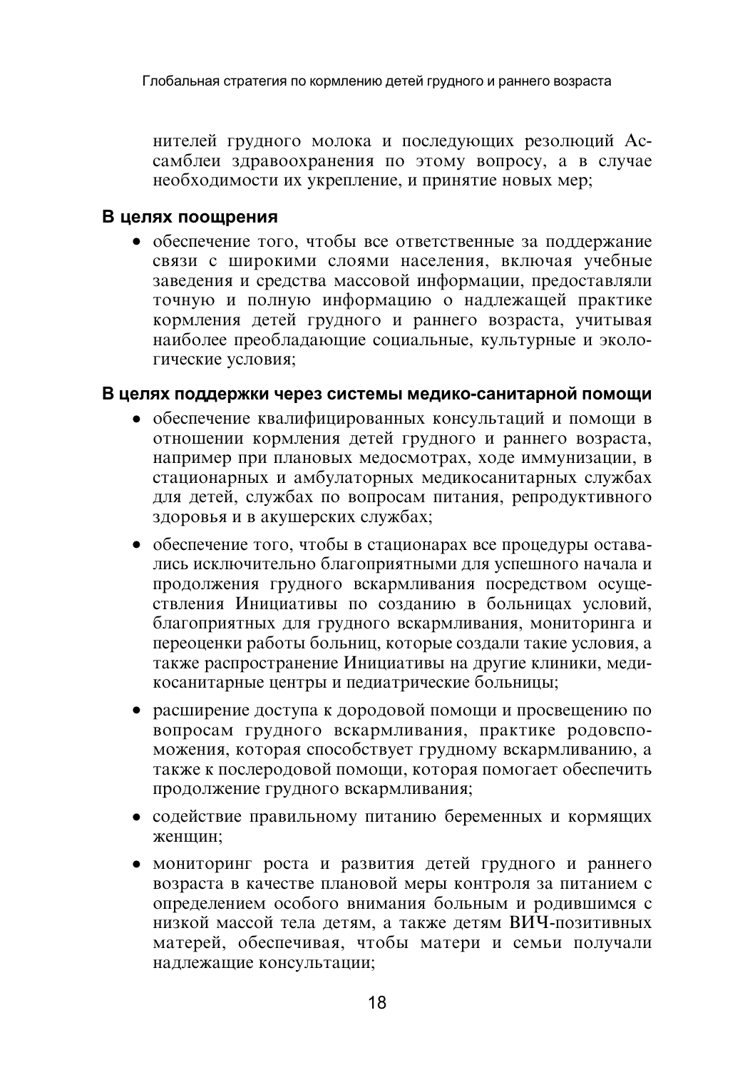нителей грудного молока и последующих резолюций Ассамблеи здравоохранения по этому вопросу, а в случае необходимости их укрепление, и принятие новых мер;

#### В целях поощрения

• обеспечение того, чтобы все ответственные за поддержание связи с широкими слоями населения, включая учебные завеления и средства массовой информации, предоставляли точную и полную информацию о надлежащей практике кормления детей грудного и раннего возраста, учитывая наиболее преобладающие социальные, культурные и экологические условия:

#### В целях поддержки через системы медико-санитарной помощи

- обеспечение квалифицированных консультаций и помощи в отношении кормления детей грудного и раннего возраста, например при плановых медосмотрах, ходе иммунизации, в стационарных и амбулаторных медикосанитарных службах для детей, службах по вопросам питания, репродуктивного здоровья и в акушерских службах;
- обеспечение того, чтобы в стационарах все процедуры оставались исключительно благоприятными для успешного начала и продолжения грудного вскармливания посредством осуществления Инициативы по созданию в больницах условий, благоприятных для грудного вскармливания, мониторинга и переоценки работы больниц, которые создали такие условия, а также распространение Инициативы на другие клиники, медикосанитарные центры и педиатрические больницы;
- расширение доступа к дородовой помощи и просвещению по вопросам грудного вскармливания, практике родовспоможения, которая способствует грудному вскармливанию, а также к послеродовой помощи, которая помогает обеспечить продолжение грудного вскармливания;
- содействие правильному питанию беременных и кормящих женшин:
- мониторинг роста и развития детей грудного и раннего возраста в качестве плановой меры контроля за питанием с определением особого внимания больным и родившимся с низкой массой тела детям, а также детям ВИЧ-позитивных матерей, обеспечивая, чтобы матери и семьи получали надлежащие консультации;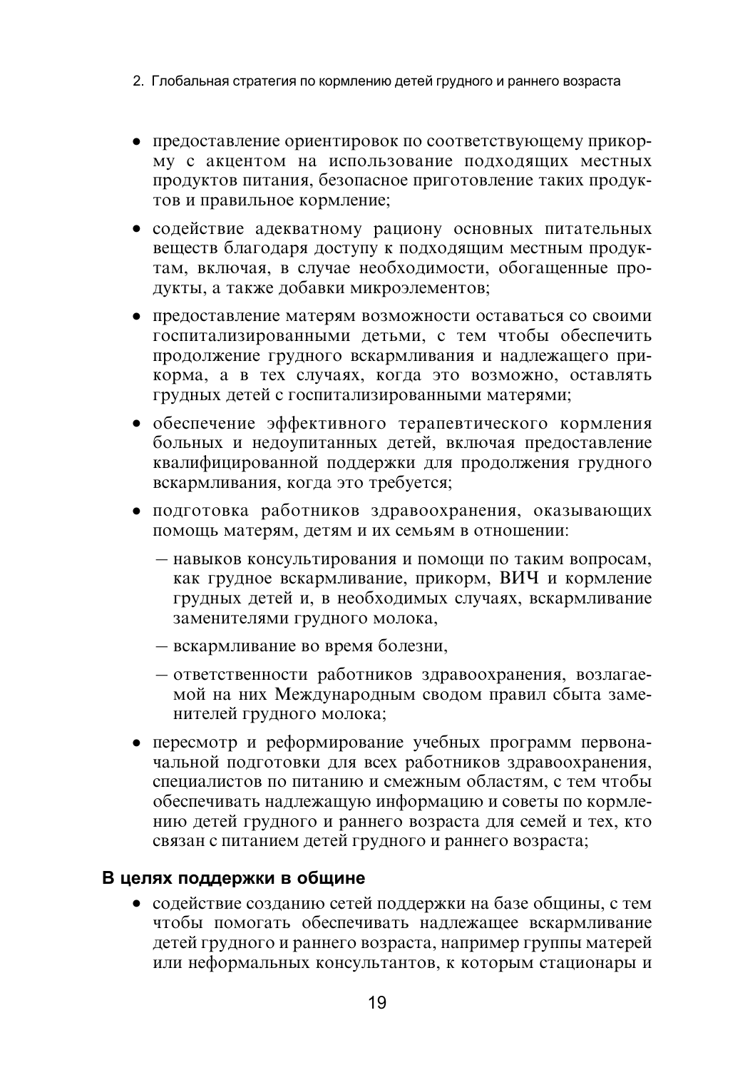- 2. Глобальная стратегия по кормлению детей грудного и раннего возраста
- предоставление ориентировок по соответствующему прикорму с акцентом на использование подходящих местных продуктов питания, безопасное приготовление таких продуктов и правильное кормление;
- содействие адекватному рациону основных питательных вешеств благодаря доступу к подходящим местным продуктам, включая, в случае необходимости, обогащенные продукты, а также добавки микроэлементов;
- предоставление матерям возможности оставаться со своими госпитализированными детьми, с тем чтобы обеспечить продолжение грудного вскармливания и надлежащего прикорма, а в тех случаях, когда это возможно, оставлять грудных детей с госпитализированными матерями;
- обеспечение эффективного терапевтического кормления больных и недоупитанных детей, включая предоставление квалифицированной поддержки для продолжения грудного вскармливания, когда это требуется;
- подготовка работников здравоохранения, оказывающих помощь матерям, детям и их семьям в отношении:
	- навыков консультирования и помощи по таким вопросам, как грудное вскармливание, прикорм, ВИЧ и кормление грудных детей и, в необходимых случаях, вскармливание заменителями грудного молока,
	- вскармливание во время болезни,
	- ответственности работников здравоохранения, возлагаемой на них Международным сводом правил сбыта заменителей грудного молока;
- пересмотр и реформирование учебных программ первоначальной подготовки для всех работников здравоохранения, специалистов по питанию и смежным областям, с тем чтобы обеспечивать надлежащую информацию и советы по кормлению детей грудного и раннего возраста для семей и тех, кто связан с питанием детей грудного и раннего возраста;

#### В целях поддержки в общине

• содействие созданию сетей поддержки на базе общины, с тем чтобы помогать обеспечивать надлежащее вскармливание детей грудного и раннего возраста, например группы матерей или неформальных консультантов, к которым стационары и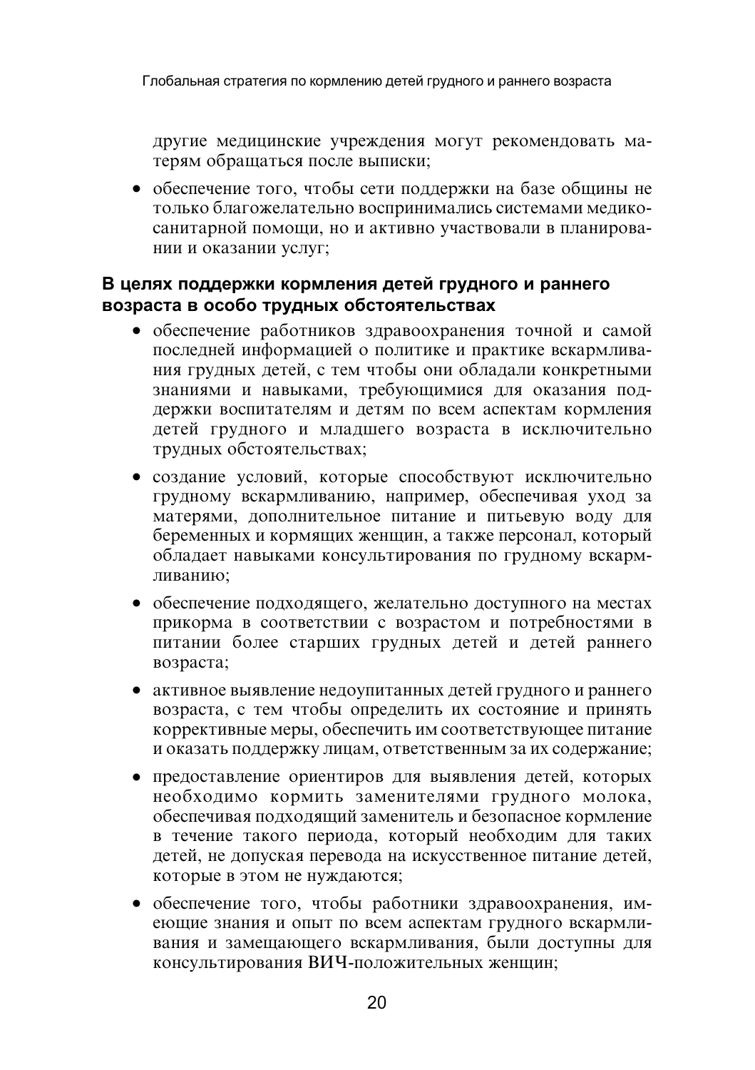другие медицинские учреждения могут рекомендовать матерям обрашаться после выписки:

• обеспечение того, чтобы сети поддержки на базе общины не только благожелательно воспринимались системами медикосанитарной помощи, но и активно участвовали в планировании и оказании услуг;

#### В целях поддержки кормления детей грудного и раннего возраста в особо трудных обстоятельствах

- обеспечение работников здравоохранения точной и самой последней информацией о политике и практике вскармливания грудных детей, с тем чтобы они обладали конкретными знаниями и навыками, требующимися для оказания поддержки воспитателям и детям по всем аспектам кормления детей грудного и младшего возраста в исключительно трудных обстоятельствах;
- создание условий, которые способствуют исключительно грудному вскармливанию, например, обеспечивая уход за матерями, дополнительное питание и питьевую воду для беременных и кормящих женщин, а также персонал, который обладает навыками консультирования по грудному вскармливанию:
- обеспечение подходящего, желательно доступного на местах прикорма в соответствии с возрастом и потребностями в питании более старших грудных детей и детей раннего возраста;
- активное выявление недоупитанных детей грудного и раннего возраста, с тем чтобы определить их состояние и принять коррективные меры, обеспечить им соответствующее питание и оказать поддержку лицам, ответственным за их содержание;
- предоставление ориентиров для выявления детей, которых необходимо кормить заменителями грудного молока, обеспечивая подходящий заменитель и безопасное кормление в течение такого периода, который необходим для таких детей, не допуская перевода на искусственное питание детей, которые в этом не нуждаются;
- обеспечение того, чтобы работники здравоохранения, имеющие знания и опыт по всем аспектам грудного вскармливания и замещающего вскармливания, были доступны для консультирования ВИЧ-положительных женщин;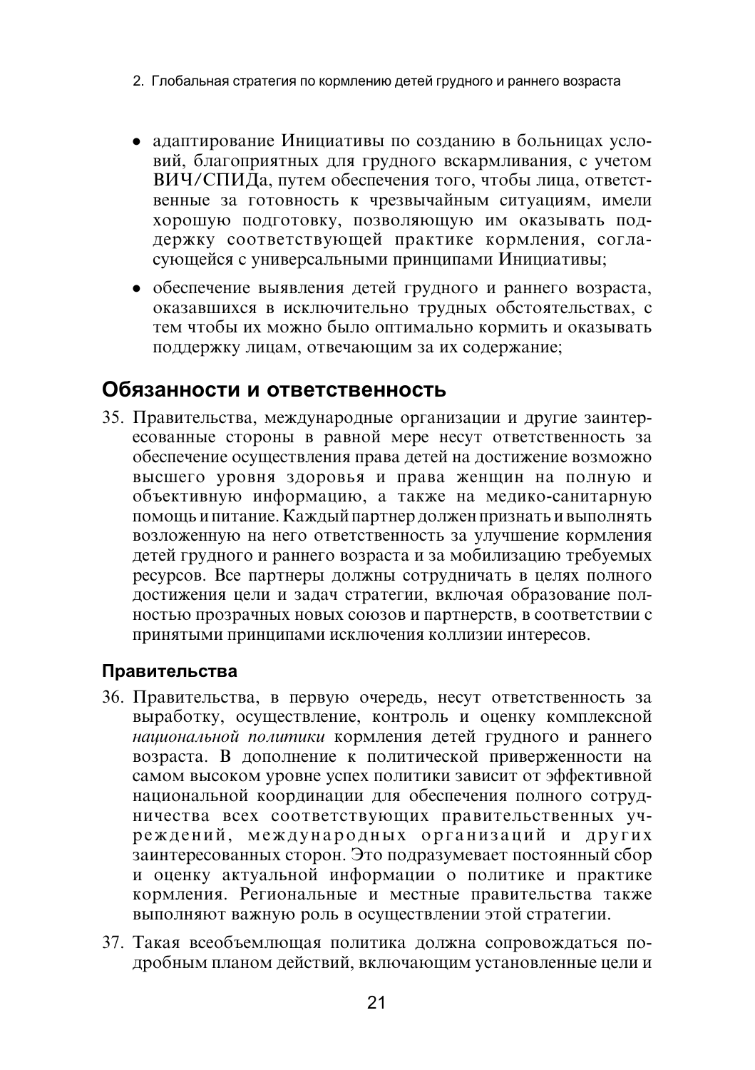- 2. Глобальная стратегия по кормлению детей грудного и раннего возраста
- адаптирование Инициативы по созданию в больницах условий, благоприятных для грудного вскармливания, с учетом ВИЧ/СПИДа, путем обеспечения того, чтобы лица, ответственные за готовность к чрезвычайным ситуациям, имели хорошую полготовку, позволяющую им оказывать поддержку соответствующей практике кормления, согласующейся с универсальными принципами Инициативы;
- обеспечение выявления детей грудного и раннего возраста, оказавшихся в исключительно трудных обстоятельствах, с тем чтобы их можно было оптимально кормить и оказывать поддержку лицам, отвечающим за их содержание;

### Обязанности и ответственность

35. Правительства, международные организации и другие заинтересованные стороны в равной мере несут ответственность за обеспечение осуществления права детей на достижение возможно высшего уровня здоровья и права женщин на полную и объективную информацию, а также на медико-санитарную помощь и питание. Каждый партнер должен признать и выполнять возложенную на него ответственность за улучшение кормления детей грудного и раннего возраста и за мобилизацию требуемых ресурсов. Все партнеры должны сотрудничать в целях полного достижения цели и задач стратегии, включая образование полностью прозрачных новых союзов и партнерств, в соответствии с принятыми принципами исключения коллизии интересов.

#### Правительства

- 36. Правительства, в первую очередь, несут ответственность за выработку, осуществление, контроль и оценку комплексной национальной политики кормления детей грудного и раннего возраста. В дополнение к политической приверженности на самом высоком уровне успех политики зависит от эффективной национальной координации для обеспечения полного сотрудничества всех соответствующих правительственных учреждений, международных организаций и других заинтересованных сторон. Это подразумевает постоянный сбор и оценку актуальной информации о политике и практике кормления. Региональные и местные правительства также выполняют важную роль в осуществлении этой стратегии.
- 37. Такая всеобъемлющая политика должна сопровождаться подробным планом действий, включающим установленные цели и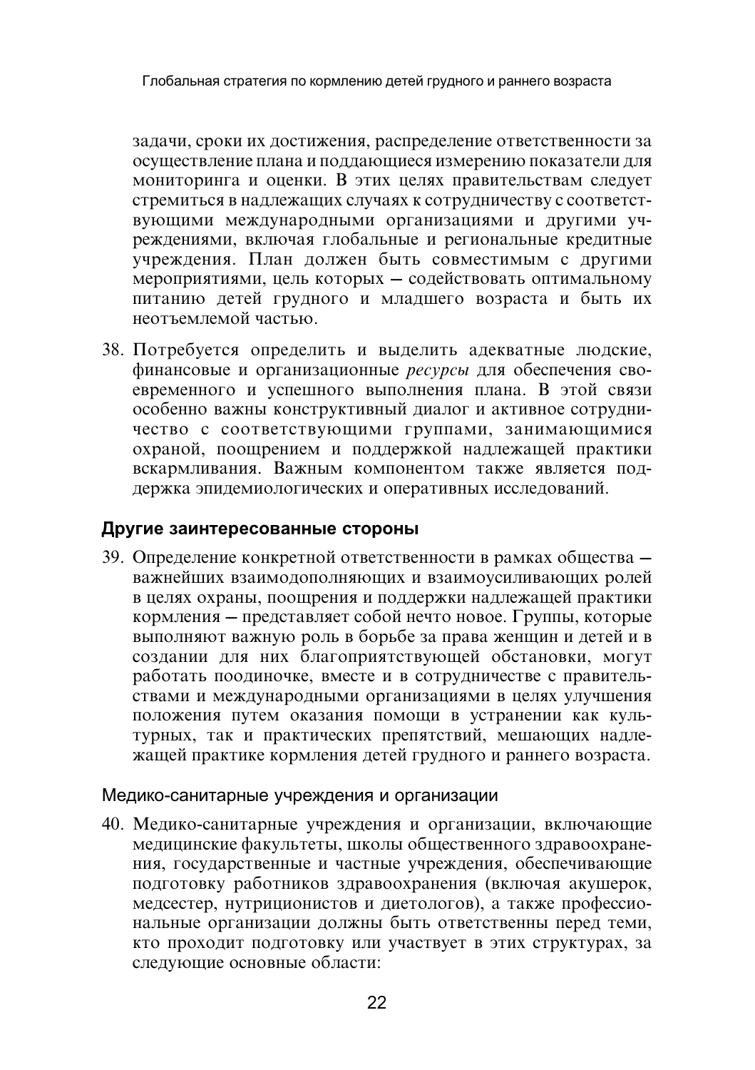задачи, сроки их достижения, распределение ответственности за осуществление плана и поддающиеся измерению показатели для мониторинга и оценки. В этих целях правительствам следует стремиться в надлежащих случаях к сотрудничеству с соответствующими международными организациями и другими учреждениями, включая глобальные и региональные кредитные учреждения. План должен быть совместимым с другими мероприятиями, цель которых - содействовать оптимальному питанию детей грудного и младшего возраста и быть их неотъемпемой частью

38. Потребуется определить и выделить адекватные людские, финансовые и организационные ресурсы для обеспечения своевременного и успешного выполнения плана. В этой связи особенно важны конструктивный диалог и активное сотрудничество с соответствующими группами, занимающимися охраной, поощрением и поддержкой надлежащей практики вскармливания. Важным компонентом также является поддержка эпидемиологических и оперативных исследований.

#### Другие заинтересованные стороны

39. Определение конкретной ответственности в рамках общества важнейших взаимодополняющих и взаимоусиливающих ролей в целях охраны, поощрения и поддержки надлежащей практики кормления - представляет собой нечто новое. Группы, которые выполняют важную роль в борьбе за права женщин и детей и в создании для них благоприятствующей обстановки, могут работать поодиночке, вместе и в сотрудничестве с правительствами и международными организациями в целях улучшения положения путем оказания помощи в устранении как культурных, так и практических препятствий, мешающих надлежащей практике кормления детей грудного и раннего возраста.

#### Медико-санитарные учреждения и организации

40. Медико-санитарные учреждения и организации, включающие медицинские факультеты, школы общественного здравоохранения, государственные и частные учреждения, обеспечивающие подготовку работников здравоохранения (включая акушерок, медсестер, нутриционистов и диетологов), а также профессиональные организации должны быть ответственны перед теми, кто проходит подготовку или участвует в этих структурах, за следующие основные области: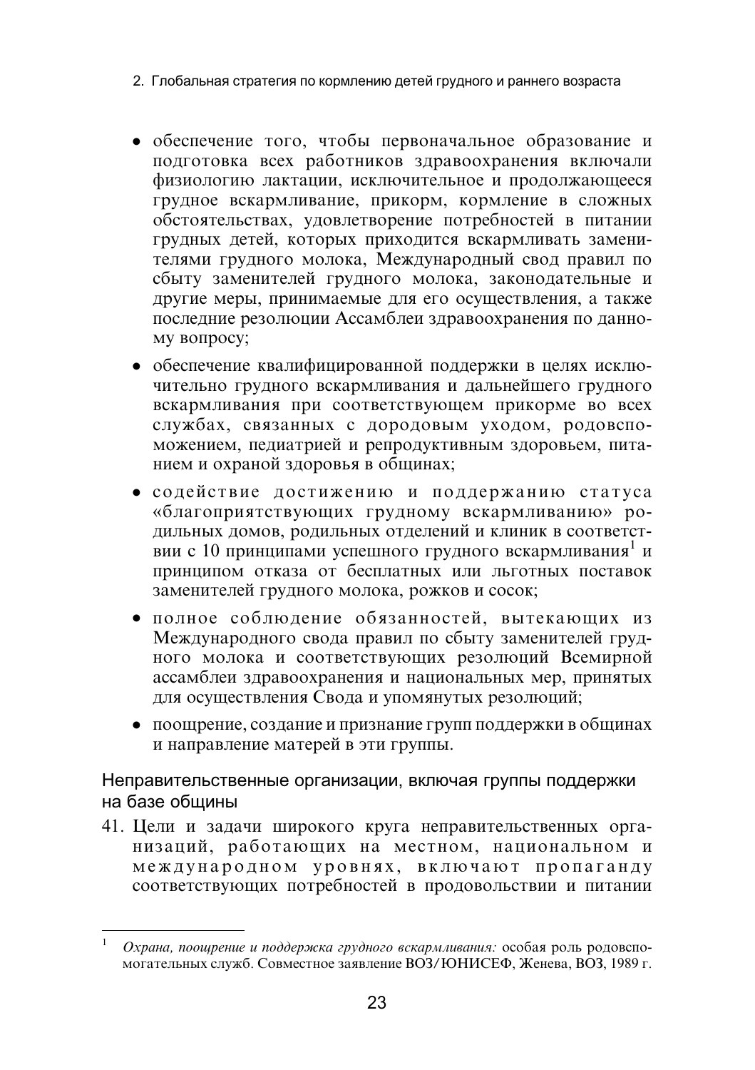- 2. Глобальная стратегия по кормлению детей грудного и раннего возраста
- обеспечение того, чтобы первоначальное образование и подготовка всех работников здравоохранения включали физиологию лактации, исключительное и продолжающееся грудное вскармливание, прикорм, кормление в сложных обстоятельствах, удовлетворение потребностей в питании грудных детей, которых приходится вскармливать заменителями грудного молока, Международный свод правил по сбыту заменителей грудного молока, законодательные и другие меры, принимаемые для его осуществления, а также последние резолюции Ассамблеи здравоохранения по данному вопросу;
- обеспечение квалифицированной поддержки в целях исключительно грудного вскармливания и дальнейшего грудного вскармливания при соответствующем прикорме во всех службах, связанных с дородовым уходом, родовспоможением, педиатрией и репродуктивным здоровьем, питанием и охраной здоровья в общинах;
- содействие достижению и поддержанию статуса «благоприятствующих грудному вскармливанию» родильных домов, родильных отделений и клиник в соответствии с 10 принципами успешного грудного вскармливания<sup>1</sup> и принципом отказа от бесплатных или льготных поставок заменителей грудного молока, рожков и сосок;
- полное соблюдение обязанностей, вытекающих из Международного свода правил по сбыту заменителей грудного молока и соответствующих резолюций Всемирной ассамблеи здравоохранения и национальных мер, принятых для осуществления Свода и упомянутых резолюций;
- поощрение, создание и признание групп поддержки в общинах и направление матерей в эти группы.

#### Неправительственные организации, включая группы поддержки на базе общины

41. Цели и задачи широкого круга неправительственных организаций, работающих на местном, национальном и международном уровнях, включают пропаганду соответствующих потребностей в продовольствии и питании

Охрана, поощрение и поддержка грудного вскармливания: особая роль родовспомогательных служб. Совместное заявление ВОЗ/ЮНИСЕФ, Женева, ВОЗ, 1989 г.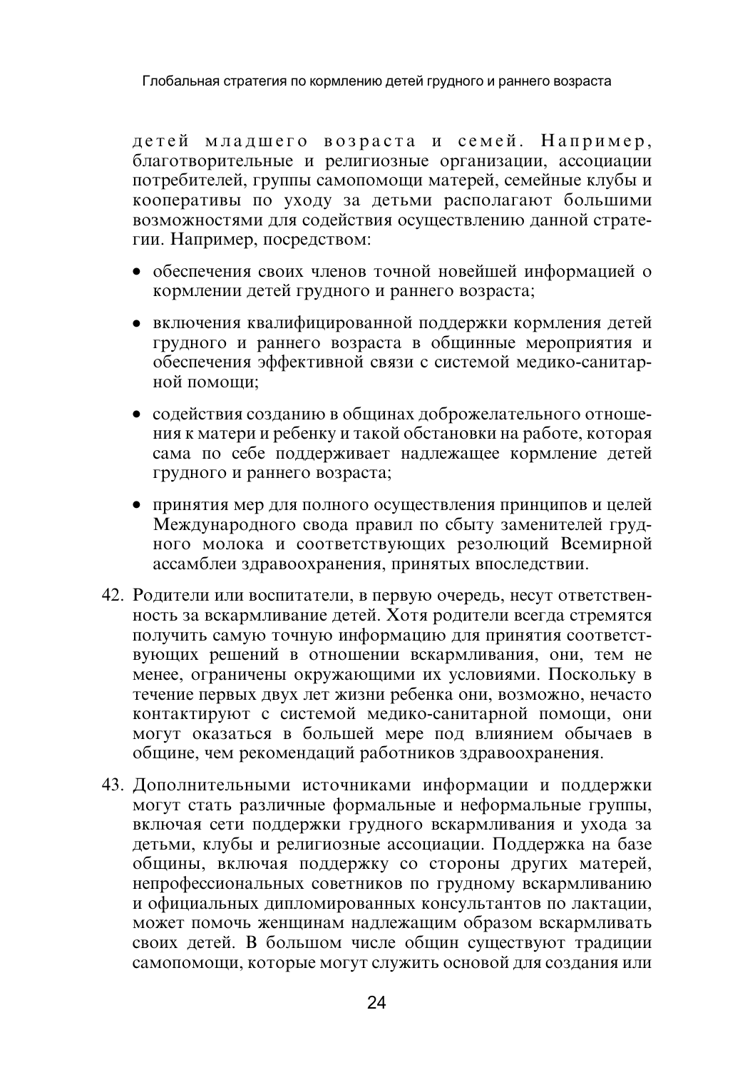детей младшего возраста и семей. Например, благотворительные и религиозные организации, ассоциации потребителей, группы самопомощи матерей, семейные клубы и кооперативы по уходу за детьми располагают большими возможностями для содействия осушествлению данной стратегии. Например, посредством:

- обеспечения своих членов точной новейшей информацией о кормлении детей грудного и раннего возраста;
- включения квалифицированной поддержки кормления детей грудного и раннего возраста в общинные мероприятия и обеспечения эффективной связи с системой мелико-санитарной помоши:
- содействия созданию в общинах доброжелательного отношения к матери и ребенку и такой обстановки на работе, которая сама по себе поддерживает надлежащее кормление детей грудного и раннего возраста:
- принятия мер для полного осуществления принципов и целей Международного свода правил по сбыту заменителей грудного молока и соответствующих резолюций Всемирной ассамблеи здравоохранения, принятых впоследствии.
- 42. Родители или воспитатели, в первую очередь, несут ответственность за вскармливание детей. Хотя родители всегда стремятся получить самую точную информацию для принятия соответствующих решений в отношении вскармливания, они, тем не менее, ограничены окружающими их условиями. Поскольку в течение первых двух лет жизни ребенка они, возможно, нечасто контактируют с системой медико-санитарной помощи, они могут оказаться в большей мере под влиянием обычаев в общине, чем рекомендаций работников здравоохранения.
- 43. Дополнительными источниками информации и поддержки могут стать различные формальные и неформальные группы, включая сети поддержки грудного вскармливания и ухода за детьми, клубы и религиозные ассоциации. Поддержка на базе общины, включая поддержку со стороны других матерей, непрофессиональных советников по грудному вскармливанию и официальных дипломированных консультантов по лактации, может помочь женщинам надлежащим образом вскармливать своих детей. В большом числе общин существуют традиции самопомощи, которые могут служить основой для создания или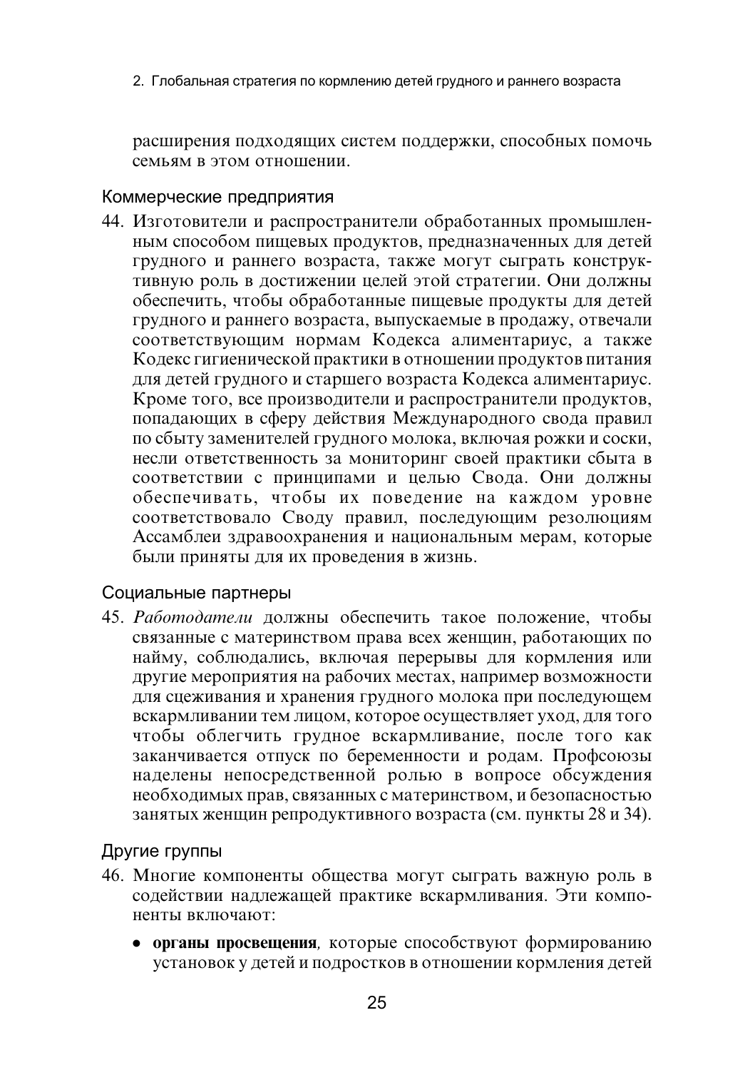2. Глобальная стратегия по кормлению детей грудного и раннего возраста

расширения подходящих систем поддержки, способных помочь семьям в этом отношении.

#### Коммерческие предприятия

44. Изготовители и распространители обработанных промышленным способом пищевых продуктов, предназначенных для детей грудного и раннего возраста, также могут сыграть конструктивную роль в достижении целей этой стратегии. Они должны обеспечить, чтобы обработанные пищевые продукты для детей грудного и раннего возраста, выпускаемые в продажу, отвечали соответствующим нормам Кодекса алиментариус, а также Кодекс гигиенической практики в отношении продуктов питания для детей грудного и старшего возраста Кодекса алиментариус. Кроме того, все производители и распространители продуктов, попадающих в сферу действия Международного свода правил по сбыту заменителей грудного молока, включая рожки и соски, несли ответственность за мониторинг своей практики сбыта в соответствии с принципами и целью Свода. Они должны обеспечивать, чтобы их поведение на каждом уровне соответствовало Своду правил, последующим резолюциям Ассамблеи здравоохранения и национальным мерам, которые были приняты для их проведения в жизнь.

#### Социальные партнеры

45. Работодатели должны обеспечить такое положение, чтобы связанные с материнством права всех женщин, работающих по найму, соблюдались, включая перерывы для кормления или другие мероприятия на рабочих местах, например возможности для сцеживания и хранения грудного молока при последующем вскармливании тем лицом, которое осуществляет уход, для того чтобы облегчить грудное вскармливание, после того как заканчивается отпуск по беременности и родам. Профсоюзы наделены непосредственной ролью в вопросе обсуждения необходимых прав, связанных с материнством, и безопасностью занятых женщин репродуктивного возраста (см. пункты 28 и 34).

#### Другие группы

- 46. Многие компоненты общества могут сыграть важную роль в содействии надлежащей практике вскармливания. Эти компоненты включают:
	- органы просвещения, которые способствуют формированию установок у детей и подростков в отношении кормления детей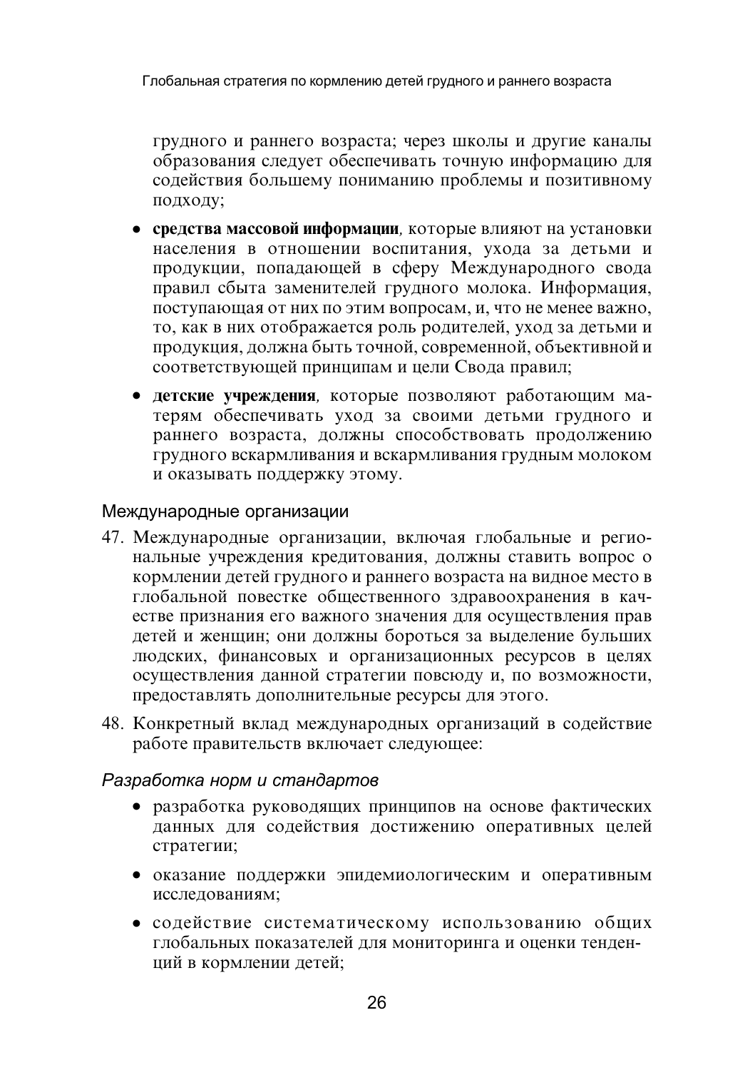грудного и раннего возраста; через школы и другие каналы образования следует обеспечивать точную информацию для содействия большему пониманию проблемы и позитивному подходу;

- средства массовой информации, которые влияют на установки населения в отношении воспитания, ухода за детьми и продукции, попадающей в сферу Международного свода правил сбыта заменителей грудного молока. Информация, поступающая от них по этим вопросам, и, что не менее важно, то, как в них отображается роль родителей, уход за детьми и продукция, должна быть точной, современной, объективной и соответствующей принципам и цели Свода правил;
- детские учреждения, которые позволяют работающим матерям обеспечивать уход за своими детьми грудного и раннего возраста, должны способствовать продолжению грудного вскармливания и вскармливания грудным молоком и оказывать поддержку этому.

#### Международные организации

- 47. Международные организации, включая глобальные и региональные учреждения кредитования, должны ставить вопрос о кормлении детей грудного и раннего возраста на видное место в глобальной повестке общественного здравоохранения в качестве признания его важного значения для осуществления прав детей и женщин; они должны бороться за выделение бульших людских, финансовых и организационных ресурсов в целях осуществления данной стратегии повсюду и, по возможности, предоставлять дополнительные ресурсы для этого.
- 48. Конкретный вклад международных организаций в содействие работе правительств включает следующее:

#### Разработка норм и стандартов

- разработка руководящих принципов на основе фактических данных для содействия достижению оперативных целей стратегии;
- оказание поддержки эпидемиологическим и оперативным исследованиям:
- содействие систематическому использованию общих глобальных показателей для мониторинга и оценки тенденций в кормлении детей;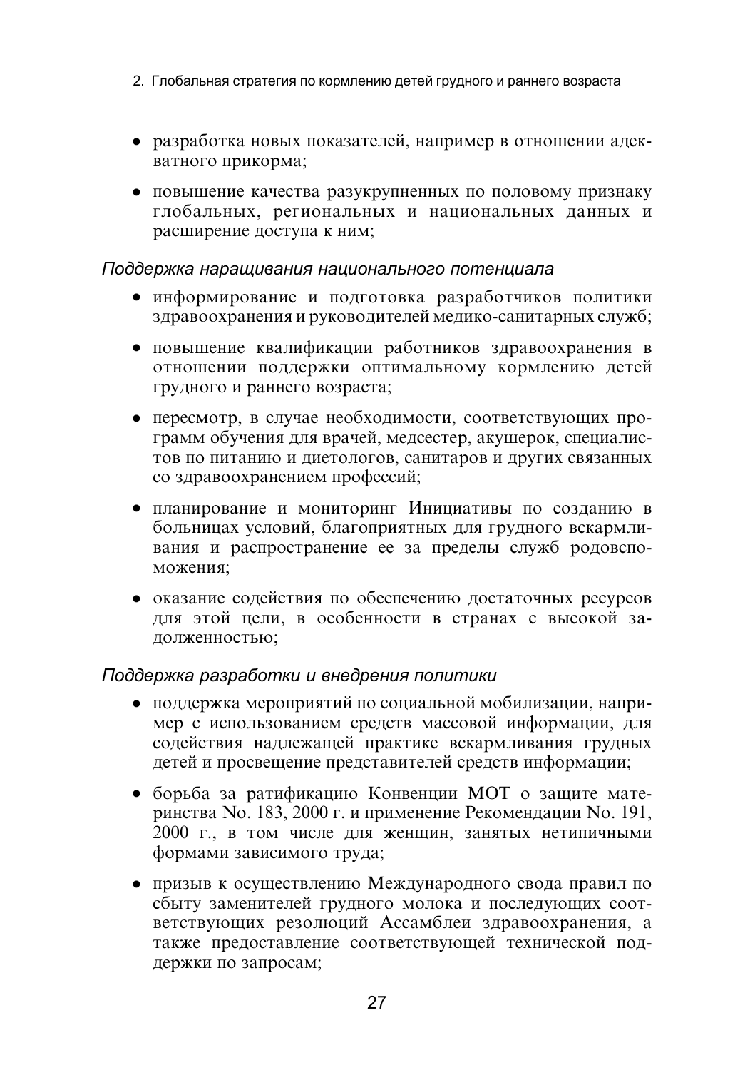- 2. Глобальная стратегия по кормлению детей грудного и раннего возраста
- разработка новых показателей, например в отношении адекватного прикорма:
- повышение качества разукрупненных по половому признаку глобальных, региональных и национальных данных и расширение доступа к ним;

#### Поддержка наращивания национального потенциала

- информирование и полготовка разработчиков политики здравоохранения и руководителей медико-санитарных служб:
- повышение квалификации работников здравоохранения в отношении поддержки оптимальному кормлению детей грудного и раннего возраста;
- $\bullet$  пересмотр, в случае необходимости, соответствующих программ обучения для врачей, медсестер, акушерок, специалистов по питанию и диетологов, санитаров и других связанных со здравоохранением профессий;
- планирование и мониторинг Инициативы по созданию в больницах условий, благоприятных для грудного вскармливания и распространение ее за пределы служб родовспоможения:
- оказание содействия по обеспечению достаточных ресурсов для этой цели, в особенности в странах с высокой залолженностью:

#### Поддержка разработки и внедрения политики

- поддержка мероприятий по социальной мобилизации, например с использованием средств массовой информации, для содействия надлежащей практике вскармливания грудных детей и просвещение представителей средств информации;
- борьба за ратификацию Конвенции МОТ о защите материнства No. 183, 2000 г. и применение Рекомендации No. 191, 2000 г., в том числе для женщин, занятых нетипичными формами зависимого труда;
- призыв к осуществлению Международного свода правил по сбыту заменителей грудного молока и последующих соответствующих резолюций Ассамблеи здравоохранения, а также предоставление соответствующей технической поддержки по запросам;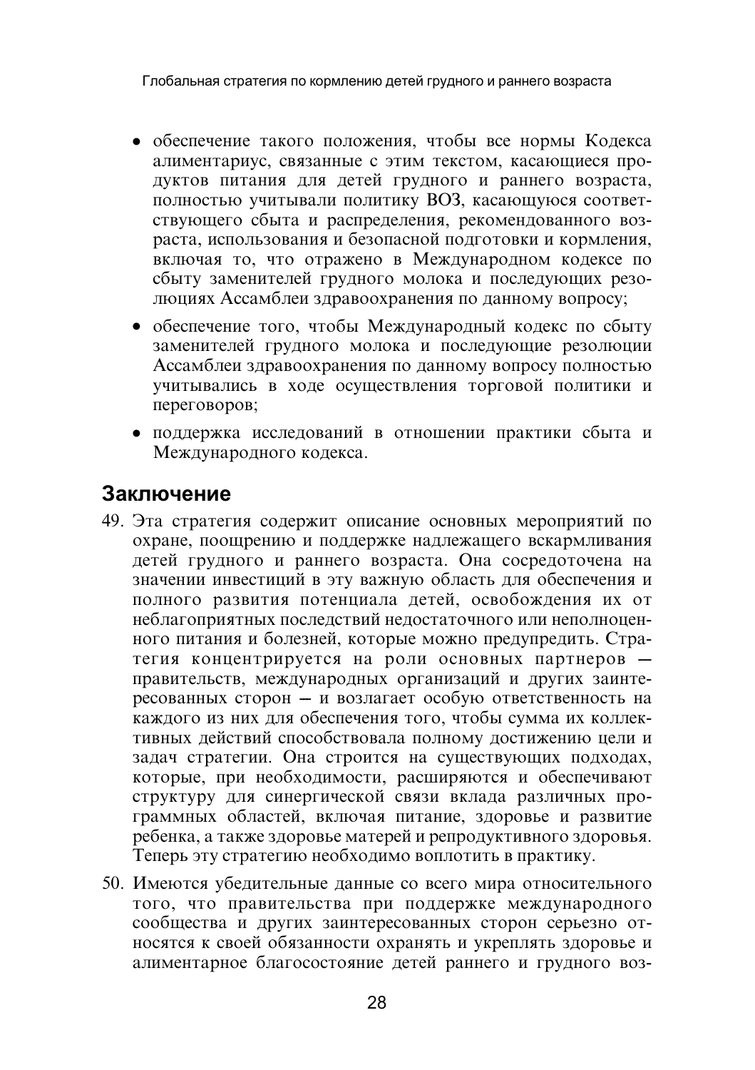Глобальная стратегия по кормлению детей грудного и раннего возраста

- обеспечение такого положения, чтобы все нормы Кодекса алиментариус, связанные с этим текстом, касающиеся продуктов питания для детей грудного и раннего возраста, полностью учитывали политику ВОЗ, касающуюся соответствующего сбыта и распределения, рекомендованного возраста, использования и безопасной подготовки и кормления, включая то, что отражено в Международном кодексе по сбыту заменителей грудного молока и последующих резолюциях Ассамблеи здравоохранения по данному вопросу;
- обеспечение того, чтобы Международный кодекс по сбыту заменителей грудного молока и последующие резолюции Ассамблеи здравоохранения по данному вопросу полностью учитывались в ходе осуществления торговой политики и переговоров;
- поддержка исследований в отношении практики сбыта и Международного кодекса.

## Заключение

- 49. Эта стратегия содержит описание основных мероприятий по охране, поощрению и поддержке надлежащего вскармливания детей грудного и раннего возраста. Она сосредоточена на значении инвестиций в эту важную область для обеспечения и полного развития потенциала детей, освобождения их от неблагоприятных последствий недостаточного или неполноценного питания и болезней, которые можно предупредить. Стратегия концентрируется на роли основных партнеров правительств, международных организаций и других заинтересованных сторон - и возлагает особую ответственность на каждого из них для обеспечения того, чтобы сумма их коллективных действий способствовала полному достижению цели и задач стратегии. Она строится на существующих подходах, которые, при необходимости, расширяются и обеспечивают структуру для синергической связи вклада различных программных областей, включая питание, здоровье и развитие ребенка, а также здоровье матерей и репродуктивного здоровья. Теперь эту стратегию необходимо воплотить в практику.
- 50. Имеются убедительные данные со всего мира относительного того, что правительства при поддержке международного сообщества и других заинтересованных сторон серьезно относятся к своей обязанности охранять и укреплять здоровье и алиментарное благосостояние детей раннего и грудного воз-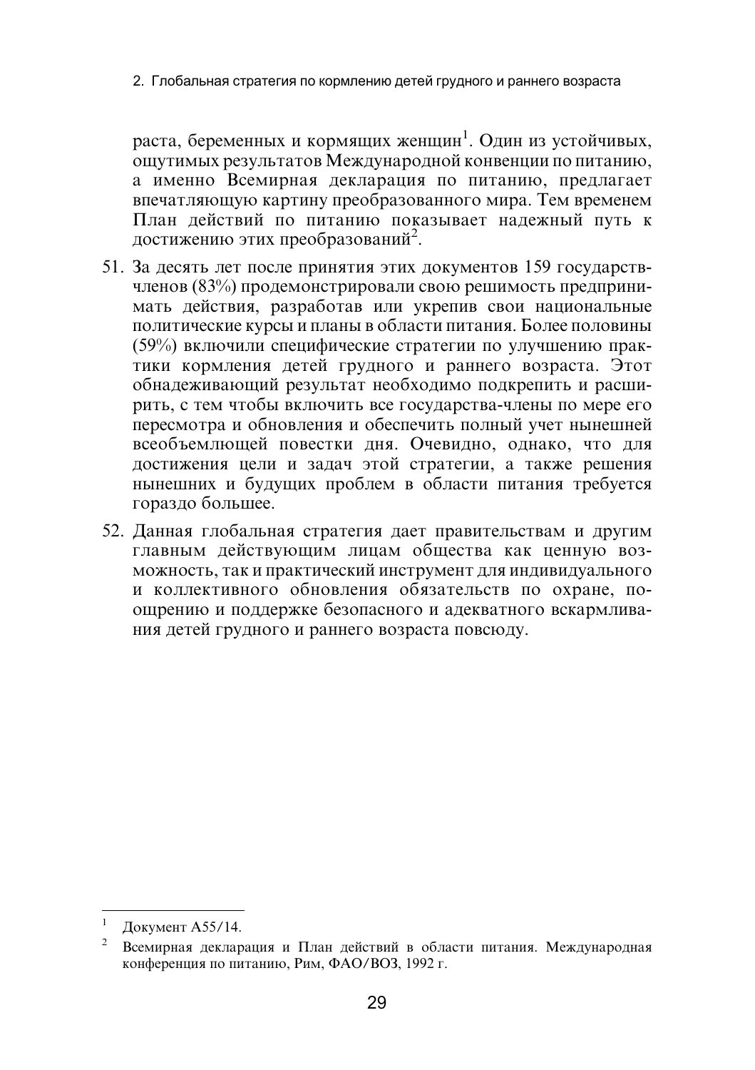2. Глобальная стратегия по кормлению детей грудного и раннего возраста

раста, беременных и кормящих женщин<sup>1</sup>. Один из устойчивых, ощутимых результатов Международной конвенции по питанию, а именно Всемирная декларация по питанию, предлагает впечатляющую картину преобразованного мира. Тем временем План лействий по питанию показывает надежный путь к достижению этих преобразований<sup>2</sup>.

- 51. За десять лет после принятия этих документов 159 государствчленов (83%) продемонстрировали свою решимость предпринимать действия, разработав или укрепив свои национальные политические курсы и планы в области питания. Более половины (59%) включили специфические стратегии по улучшению практики кормления детей грудного и раннего возраста. Этот обнадеживающий результат необходимо подкрепить и расширить, с тем чтобы включить все государства-члены по мере его пересмотра и обновления и обеспечить полный учет нынешней всеобъемлющей повестки дня. Очевидно, однако, что для достижения цели и задач этой стратегии, а также решения нынешних и будущих проблем в области питания требуется гораздо большее.
- 52. Данная глобальная стратегия дает правительствам и другим главным действующим лицам общества как ценную возможность, так и практический инструмент для индивидуального и коллективного обновления обязательств по охране, поощрению и поддержке безопасного и адекватного вскармливания детей грудного и раннего возраста повсюду.

Документ А55/14.

 $\mathbf{2}$ Всемирная декларация и План действий в области питания. Международная конференция по питанию, Рим, ФАО/ВОЗ, 1992 г.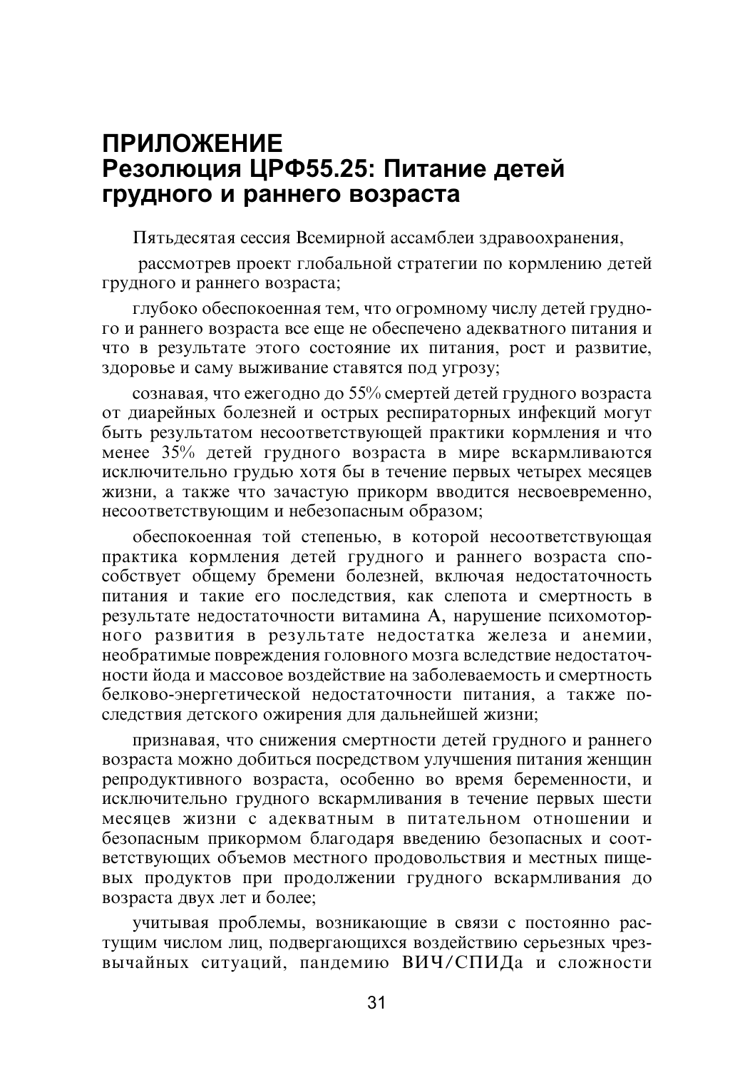## **ПРИЛОЖЕНИЕ** Резолюция ЦРФ55.25: Питание детей грудного и раннего возраста

Пятьдесятая сессия Всемирной ассамблеи здравоохранения,

рассмотрев проект глобальной стратегии по кормлению детей грудного и раннего возраста;

глубоко обеспокоенная тем, что огромному числу детей грудного и раннего возраста все еще не обеспечено адекватного питания и что в результате этого состояние их питания, рост и развитие, здоровье и саму выживание ставятся под угрозу;

сознавая, что ежегодно до 55% смертей детей грудного возраста от диарейных болезней и острых респираторных инфекций могут быть результатом несоответствующей практики кормления и что менее 35% детей грудного возраста в мире вскармливаются исключительно грудью хотя бы в течение первых четырех месяцев жизни, а также что зачастую прикорм вводится несвоевременно, несоответствующим и небезопасным образом;

обеспокоенная той степенью, в которой несоответствующая практика кормления детей грудного и раннего возраста способствует общему бремени болезней, включая недостаточность питания и такие его последствия, как слепота и смертность в результате недостаточности витамина А, нарушение психомоторного развития в результате недостатка железа и анемии, необратимые повреждения головного мозга вследствие недостаточности йода и массовое воздействие на заболеваемость и смертность белково-энергетической недостаточности питания, а также последствия детского ожирения для дальнейшей жизни;

признавая, что снижения смертности детей грудного и раннего возраста можно добиться посредством улучшения питания женщин репродуктивного возраста, особенно во время беременности, и исключительно грудного вскармливания в течение первых шести месяцев жизни с адекватным в питательном отношении и безопасным прикормом благодаря введению безопасных и соответствующих объемов местного продовольствия и местных пищевых продуктов при продолжении грудного вскармливания до возраста двух лет и более;

учитывая проблемы, возникающие в связи с постоянно растущим числом лиц, подвергающихся воздействию серьезных чрезвычайных ситуаций, пандемию ВИЧ/СПИДа и сложности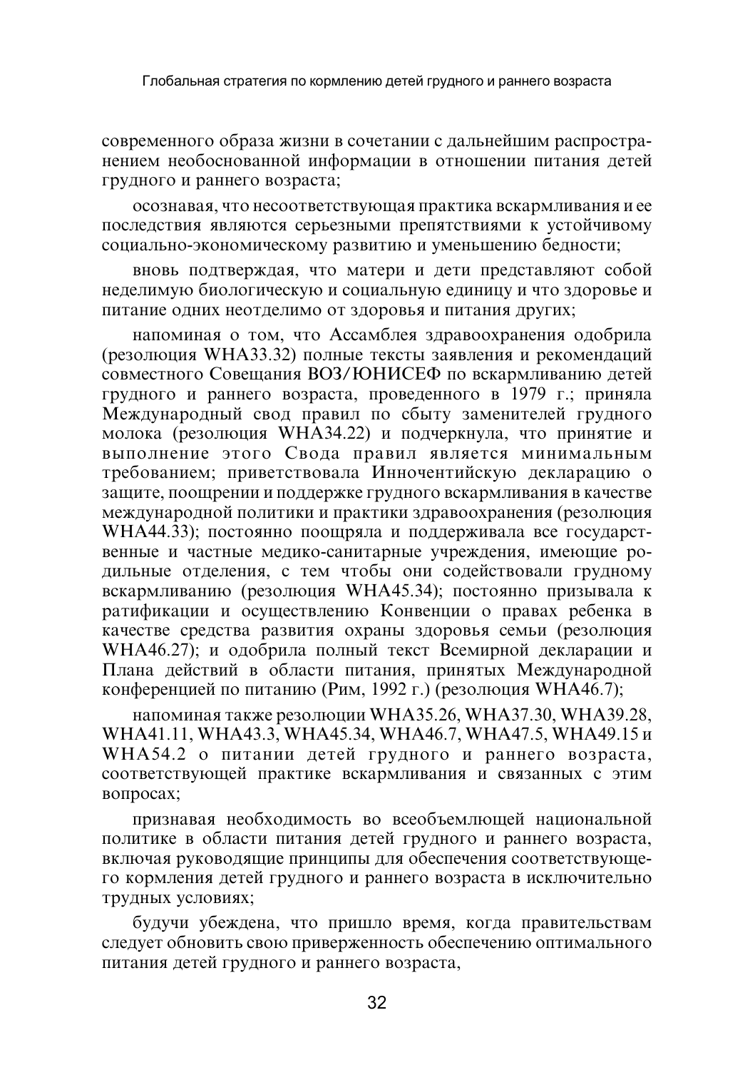современного образа жизни в сочетании с дальнейшим распространением необоснованной информации в отношении питания летей грудного и раннего возраста;

осознавая, что несоответствующая практика вскармливания и ее последствия являются серьезными препятствиями к устойчивому социально-экономическому развитию и уменьшению бедности;

вновь подтверждая, что матери и дети представляют собой неделимую биологическую и социальную единицу и что здоровье и питание одних неотделимо от здоровья и питания других;

напоминая о том, что Ассамблея здравоохранения одобрила (резолюция WHA33.32) полные тексты заявления и рекомендаций совместного Совещания ВОЗ/ЮНИСЕФ по вскармливанию детей грудного и раннего возраста, проведенного в 1979 г.; приняла Международный свод правил по сбыту заменителей грудного молока (резолюция WHA34.22) и подчеркнула, что принятие и выполнение этого Свода правил является минимальным требованием: приветствовала Инночентийскую декларацию о защите, поощрении и поддержке грудного вскармливания в качестве международной политики и практики здравоохранения (резолюция WHA44.33); постоянно поощряла и поддерживала все государственные и частные медико-санитарные учреждения, имеющие родильные отделения, с тем чтобы они содействовали грудному вскармливанию (резолюция WHA45.34); постоянно призывала к ратификации и осуществлению Конвенции о правах ребенка в качестве средства развития охраны здоровья семьи (резолюция WHA46.27); и одобрила полный текст Всемирной декларации и Плана действий в области питания, принятых Международной конференцией по питанию (Рим, 1992 г.) (резолюция WHA46.7);

напоминая также резолюции WHA35.26, WHA37.30, WHA39.28, WHA41.11, WHA43.3, WHA45.34, WHA46.7, WHA47.5, WHA49.15 u WHA54.2 о питании детей грудного и раннего возраста, соответствующей практике вскармливания и связанных с этим вопросах;

признавая необходимость во всеобъемлющей национальной политике в области питания детей грудного и раннего возраста, включая руководящие принципы для обеспечения соответствующего кормления детей грудного и раннего возраста в исключительно трудных условиях;

будучи убеждена, что пришло время, когда правительствам следует обновить свою приверженность обеспечению оптимального питания детей грудного и раннего возраста,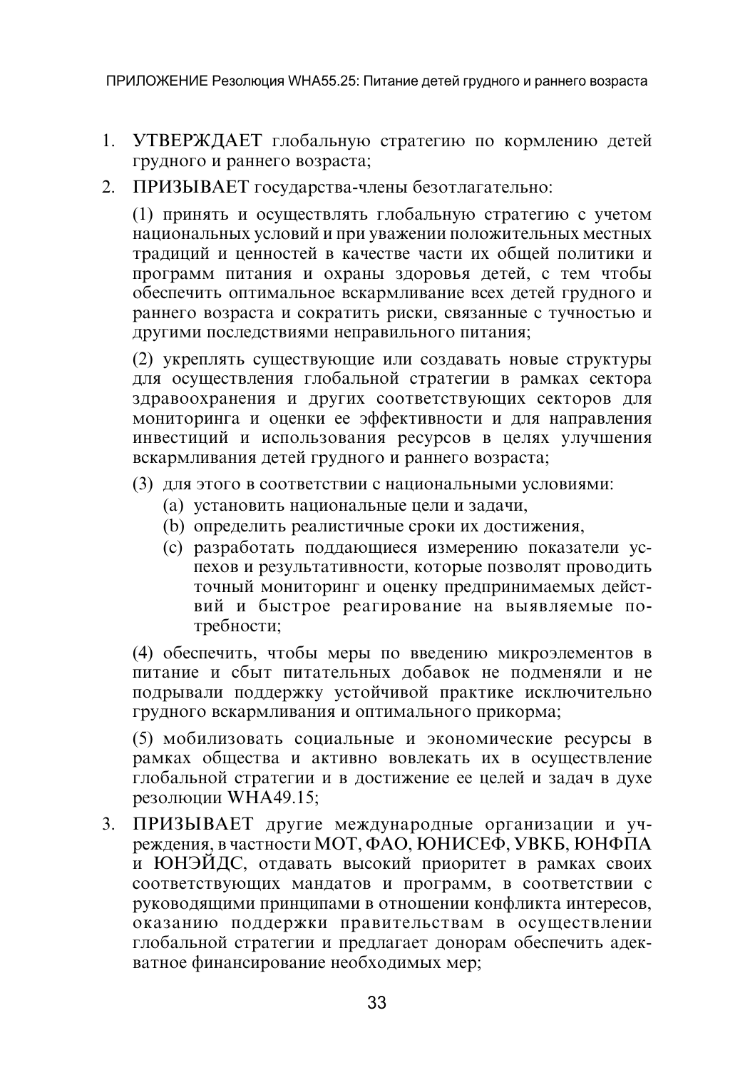ПРИЛОЖЕНИЕ Резолюция WHA55.25: Питание детей грудного и раннего возраста

- 1. УТВЕРЖДАЕТ глобальную стратегию по кормлению детей грудного и раннего возраста;
- 2. ПРИЗЫВАЕТ государства-члены безотлагательно:

(1) принять и осуществлять глобальную стратегию с учетом национальных условий и при уважении положительных местных традиций и ценностей в качестве части их общей политики и программ питания и охраны здоровья детей, с тем чтобы обеспечить оптимальное вскармливание всех детей грудного и раннего возраста и сократить риски, связанные с тучностью и другими последствиями неправильного питания;

(2) укреплять существующие или создавать новые структуры для осуществления глобальной стратегии в рамках сектора здравоохранения и других соответствующих секторов для мониторинга и оценки ее эффективности и для направления инвестиций и использования ресурсов в целях улучшения вскармливания детей грудного и раннего возраста;

- (3) для этого в соответствии с национальными условиями:
	- (а) установить национальные цели и задачи,
	- (b) определить реалистичные сроки их достижения,
	- (с) разработать поддающиеся измерению показатели успехов и результативности, которые позволят проводить точный мониторинг и оценку предпринимаемых действий и быстрое реагирование на выявляемые потребности;

(4) обеспечить, чтобы меры по введению микроэлементов в питание и сбыт питательных добавок не подменяли и не подрывали поддержку устойчивой практике исключительно грудного вскармливания и оптимального прикорма;

(5) мобилизовать социальные и экономические ресурсы в рамках общества и активно вовлекать их в осуществление глобальной стратегии и в достижение ее целей и задач в духе резолюции WHA49.15;

3. ПРИЗЫВАЕТ другие международные организации и учреждения, в частности МОТ, ФАО, ЮНИСЕФ, УВКБ, ЮНФПА и ЮНЭЙДС, отдавать высокий приоритет в рамках своих соответствующих мандатов и программ, в соответствии с руководящими принципами в отношении конфликта интересов, оказанию поддержки правительствам в осуществлении глобальной стратегии и предлагает донорам обеспечить адекватное финансирование необходимых мер;